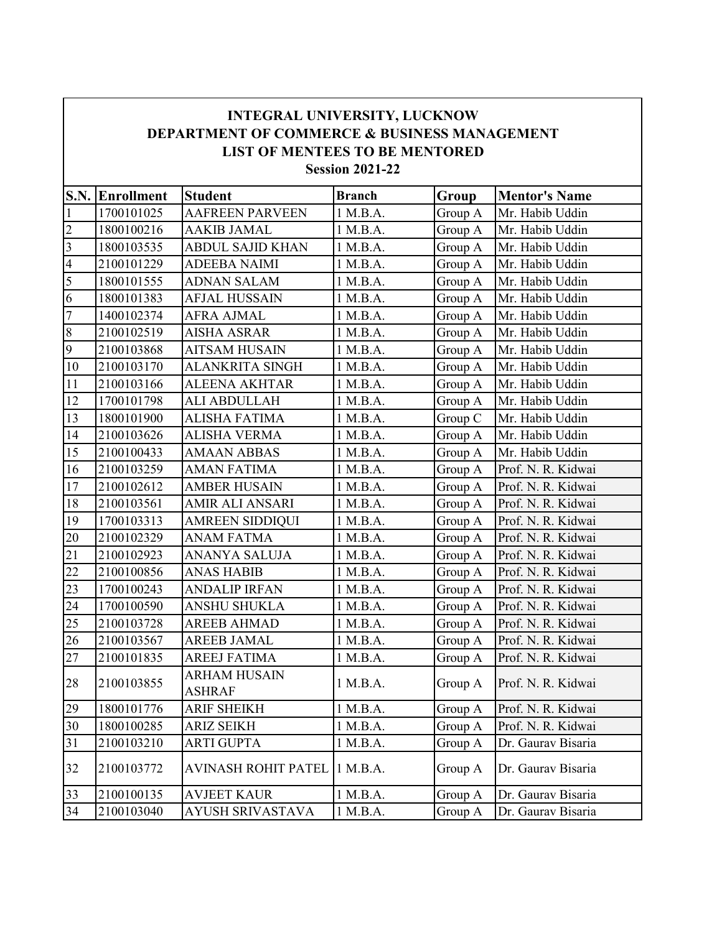|                          | <b>INTEGRAL UNIVERSITY, LUCKNOW</b><br><b>DEPARTMENT OF COMMERCE &amp; BUSINESS MANAGEMENT</b><br><b>LIST OF MENTEES TO BE MENTORED</b><br><b>Session 2021-22</b> |                                      |               |         |                      |  |  |  |  |  |
|--------------------------|-------------------------------------------------------------------------------------------------------------------------------------------------------------------|--------------------------------------|---------------|---------|----------------------|--|--|--|--|--|
|                          | <b>S.N.</b> Enrollment                                                                                                                                            | <b>Student</b>                       | <b>Branch</b> | Group   | <b>Mentor's Name</b> |  |  |  |  |  |
| 1                        | 1700101025                                                                                                                                                        | <b>AAFREEN PARVEEN</b>               | 1 M.B.A.      | Group A | Mr. Habib Uddin      |  |  |  |  |  |
| $\overline{c}$           | 1800100216                                                                                                                                                        | <b>AAKIB JAMAL</b>                   | 1 M.B.A.      | Group A | Mr. Habib Uddin      |  |  |  |  |  |
| 3                        | 1800103535                                                                                                                                                        | <b>ABDUL SAJID KHAN</b>              | 1 M.B.A.      | Group A | Mr. Habib Uddin      |  |  |  |  |  |
| $\overline{\mathcal{A}}$ | 2100101229                                                                                                                                                        | <b>ADEEBA NAIMI</b>                  | 1 M.B.A.      | Group A | Mr. Habib Uddin      |  |  |  |  |  |
| 5                        | 1800101555                                                                                                                                                        | <b>ADNAN SALAM</b>                   | 1 M.B.A.      | Group A | Mr. Habib Uddin      |  |  |  |  |  |
| 6                        | 1800101383                                                                                                                                                        | <b>AFJAL HUSSAIN</b>                 | 1 M.B.A.      | Group A | Mr. Habib Uddin      |  |  |  |  |  |
| $\overline{7}$           | 1400102374                                                                                                                                                        | <b>AFRA AJMAL</b>                    | 1 M.B.A.      | Group A | Mr. Habib Uddin      |  |  |  |  |  |
| $8\,$                    | 2100102519                                                                                                                                                        | <b>AISHA ASRAR</b>                   | 1 M.B.A.      | Group A | Mr. Habib Uddin      |  |  |  |  |  |
| 9                        | 2100103868                                                                                                                                                        | <b>AITSAM HUSAIN</b>                 | 1 M.B.A.      | Group A | Mr. Habib Uddin      |  |  |  |  |  |
| 10                       | 2100103170                                                                                                                                                        | <b>ALANKRITA SINGH</b>               | 1 M.B.A.      | Group A | Mr. Habib Uddin      |  |  |  |  |  |
| 11                       | 2100103166                                                                                                                                                        | <b>ALEENA AKHTAR</b>                 | 1 M.B.A.      | Group A | Mr. Habib Uddin      |  |  |  |  |  |
| 12                       | 1700101798                                                                                                                                                        | <b>ALI ABDULLAH</b>                  | 1 M.B.A.      | Group A | Mr. Habib Uddin      |  |  |  |  |  |
| 13                       | 1800101900                                                                                                                                                        | <b>ALISHA FATIMA</b>                 | 1 M.B.A.      | Group C | Mr. Habib Uddin      |  |  |  |  |  |
| 14                       | 2100103626                                                                                                                                                        | <b>ALISHA VERMA</b>                  | 1 M.B.A.      | Group A | Mr. Habib Uddin      |  |  |  |  |  |
| 15                       | 2100100433                                                                                                                                                        | <b>AMAAN ABBAS</b>                   | 1 M.B.A.      | Group A | Mr. Habib Uddin      |  |  |  |  |  |
| 16                       | 2100103259                                                                                                                                                        | <b>AMAN FATIMA</b>                   | 1 M.B.A.      | Group A | Prof. N. R. Kidwai   |  |  |  |  |  |
| 17                       | 2100102612                                                                                                                                                        | <b>AMBER HUSAIN</b>                  | 1 M.B.A.      | Group A | Prof. N. R. Kidwai   |  |  |  |  |  |
| 18                       | 2100103561                                                                                                                                                        | AMIR ALI ANSARI                      | 1 M.B.A.      | Group A | Prof. N. R. Kidwai   |  |  |  |  |  |
| 19                       | 1700103313                                                                                                                                                        | <b>AMREEN SIDDIQUI</b>               | 1 M.B.A.      | Group A | Prof. N. R. Kidwai   |  |  |  |  |  |
| 20                       | 2100102329                                                                                                                                                        | <b>ANAM FATMA</b>                    | 1 M.B.A.      | Group A | Prof. N. R. Kidwai   |  |  |  |  |  |
| 21                       | 2100102923                                                                                                                                                        | ANANYA SALUJA                        | 1 M.B.A.      | Group A | Prof. N. R. Kidwai   |  |  |  |  |  |
| 22                       | 2100100856                                                                                                                                                        | <b>ANAS HABIB</b>                    | 1 M.B.A.      | Group A | Prof. N. R. Kidwai   |  |  |  |  |  |
| 23                       | 1700100243                                                                                                                                                        | <b>ANDALIP IRFAN</b>                 | 1 M.B.A.      | Group A | Prof. N. R. Kidwai   |  |  |  |  |  |
| 24                       | 1700100590                                                                                                                                                        | ANSHU SHUKLA                         | 1 M.B.A.      | Group A | Prof. N. R. Kidwai   |  |  |  |  |  |
| 25                       | 2100103728                                                                                                                                                        | <b>AREEB AHMAD</b>                   | 1 M.B.A.      | Group A | Prof. N. R. Kidwai   |  |  |  |  |  |
| 26                       | 2100103567                                                                                                                                                        | AREEB JAMAL                          | 1 M.B.A.      | Group A | Prof. N. R. Kidwai   |  |  |  |  |  |
| 27                       | 2100101835                                                                                                                                                        | <b>AREEJ FATIMA</b>                  | 1 M.B.A.      | Group A | Prof. N. R. Kidwai   |  |  |  |  |  |
| 28                       | 2100103855                                                                                                                                                        | <b>ARHAM HUSAIN</b><br><b>ASHRAF</b> | 1 M.B.A.      | Group A | Prof. N. R. Kidwai   |  |  |  |  |  |
| 29                       | 1800101776                                                                                                                                                        | <b>ARIF SHEIKH</b>                   | 1 M.B.A.      | Group A | Prof. N. R. Kidwai   |  |  |  |  |  |
| 30                       | 1800100285                                                                                                                                                        | <b>ARIZ SEIKH</b>                    | 1 M.B.A.      | Group A | Prof. N. R. Kidwai   |  |  |  |  |  |
| 31                       | 2100103210                                                                                                                                                        | <b>ARTI GUPTA</b>                    | 1 M.B.A.      | Group A | Dr. Gaurav Bisaria   |  |  |  |  |  |
| 32                       | 2100103772                                                                                                                                                        | <b>AVINASH ROHIT PATEL</b>           | 1 M.B.A.      | Group A | Dr. Gaurav Bisaria   |  |  |  |  |  |
| 33                       | 2100100135                                                                                                                                                        | <b>AVJEET KAUR</b>                   | 1 M.B.A.      | Group A | Dr. Gaurav Bisaria   |  |  |  |  |  |
| 34                       | 2100103040                                                                                                                                                        | AYUSH SRIVASTAVA                     | 1 M.B.A.      | Group A | Dr. Gaurav Bisaria   |  |  |  |  |  |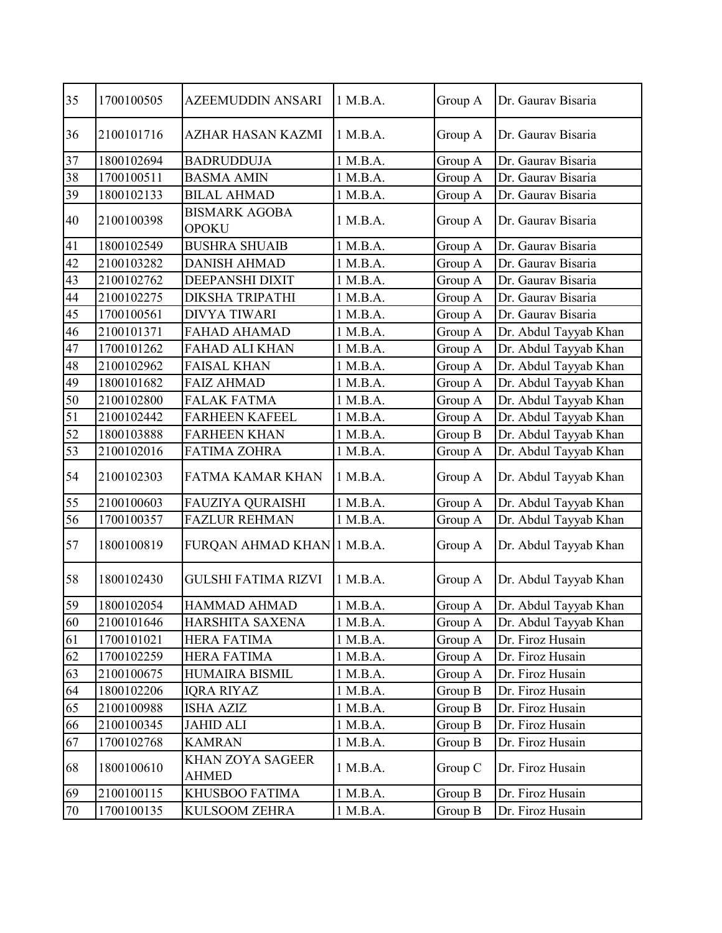| 35<br>1 M.B.A.<br>1700100505<br>AZEEMUDDIN ANSARI<br>Group A<br>Dr. Gaurav Bisaria                    |  |
|-------------------------------------------------------------------------------------------------------|--|
|                                                                                                       |  |
| 36<br>2100101716<br>1 M.B.A.<br>Group A<br>Dr. Gaurav Bisaria<br>AZHAR HASAN KAZMI                    |  |
| 37<br>1800102694<br>Dr. Gaurav Bisaria<br><b>BADRUDDUJA</b><br>1 M.B.A.<br>Group A                    |  |
| 1 M.B.A.<br>Dr. Gaurav Bisaria<br>38<br>1700100511<br><b>BASMA AMIN</b><br>Group A                    |  |
| 39<br>Dr. Gaurav Bisaria<br>1800102133<br><b>BILAL AHMAD</b><br>1 M.B.A.<br>Group A                   |  |
| <b>BISMARK AGOBA</b><br>40<br>1 M.B.A.<br>2100100398<br>Group A<br>Dr. Gaurav Bisaria<br><b>OPOKU</b> |  |
| 41<br>1800102549<br><b>BUSHRA SHUAIB</b><br>1 M.B.A.<br>Group A<br>Dr. Gaurav Bisaria                 |  |
| 1 M.B.A.<br>42<br>2100103282<br><b>DANISH AHMAD</b><br>Dr. Gaurav Bisaria<br>Group A                  |  |
| 43<br>Dr. Gaurav Bisaria<br>2100102762<br>DEEPANSHI DIXIT<br>1 M.B.A.<br>Group A                      |  |
| 44<br>Dr. Gaurav Bisaria<br>2100102275<br>DIKSHA TRIPATHI<br>1 M.B.A.<br>Group A                      |  |
| 45<br>Group A<br>Dr. Gaurav Bisaria<br>1700100561<br>DIVYA TIWARI<br>1 M.B.A.                         |  |
| 46<br>Dr. Abdul Tayyab Khan<br>2100101371<br><b>FAHAD AHAMAD</b><br>1 M.B.A.<br>Group A               |  |
| 47<br>Dr. Abdul Tayyab Khan<br>1700101262<br>FAHAD ALI KHAN<br>1 M.B.A.<br>Group A                    |  |
| 48<br>Dr. Abdul Tayyab Khan<br>2100102962<br><b>FAISAL KHAN</b><br>1 M.B.A.<br>Group A                |  |
| 49<br>Dr. Abdul Tayyab Khan<br>1800101682<br><b>FAIZ AHMAD</b><br>1 M.B.A.<br>Group A                 |  |
| 50<br>Group A<br>Dr. Abdul Tayyab Khan<br>2100102800<br><b>FALAK FATMA</b><br>1 M.B.A.                |  |
| 51<br>Dr. Abdul Tayyab Khan<br>2100102442<br>1 M.B.A.<br><b>FARHEEN KAFEEL</b><br>Group A             |  |
| 52<br>Dr. Abdul Tayyab Khan<br>1 M.B.A.<br>1800103888<br><b>FARHEEN KHAN</b><br>Group B               |  |
| 53<br>2100102016<br><b>FATIMA ZOHRA</b><br>Dr. Abdul Tayyab Khan<br>1 M.B.A.<br>Group A               |  |
| 54<br>2100102303<br><b>FATMA KAMAR KHAN</b><br>1 M.B.A.<br>Dr. Abdul Tayyab Khan<br>Group A           |  |
| 55<br>2100100603<br>FAUZIYA QURAISHI<br>1 M.B.A.<br>Dr. Abdul Tayyab Khan<br>Group A                  |  |
| 56<br>Dr. Abdul Tayyab Khan<br>1700100357<br><b>FAZLUR REHMAN</b><br>1 M.B.A.<br>Group A              |  |
| 57<br>1800100819<br>FURQAN AHMAD KHAN 1 M.B.A.<br>Dr. Abdul Tayyab Khan<br>Group A                    |  |
| 58<br>1 M.B.A.<br>Dr. Abdul Tayyab Khan<br>1800102430<br><b>GULSHI FATIMA RIZVI</b><br>Group A        |  |
| 59<br>Group A<br>Dr. Abdul Tayyab Khan<br>1800102054<br><b>HAMMAD AHMAD</b><br>1 M.B.A.               |  |
| 60<br>Dr. Abdul Tayyab Khan<br>2100101646<br>HARSHITA SAXENA<br>1 M.B.A.<br>Group A                   |  |
| 61<br>1700101021<br>1 M.B.A.<br>Dr. Firoz Husain<br><b>HERA FATIMA</b><br>Group A                     |  |
| 62<br>1700102259<br><b>HERA FATIMA</b><br>1 M.B.A.<br>Dr. Firoz Husain<br>Group A                     |  |
| 63<br>Dr. Firoz Husain<br>2100100675<br>HUMAIRA BISMIL<br>1 M.B.A.<br>Group A                         |  |
| 64<br>Dr. Firoz Husain<br>1800102206<br>Group B<br>IQRA RIYAZ<br>1 M.B.A.                             |  |
| 65<br>Dr. Firoz Husain<br>2100100988<br><b>ISHA AZIZ</b><br>1 M.B.A.<br>Group B                       |  |
| Dr. Firoz Husain<br>66<br>2100100345<br>JAHID ALI<br>1 M.B.A.<br>Group B                              |  |
| 67<br>Dr. Firoz Husain<br>1700102768<br><b>KAMRAN</b><br>1 M.B.A.<br>Group B                          |  |
| KHAN ZOYA SAGEER<br>Dr. Firoz Husain<br>68<br>1800100610<br>1 M.B.A.<br>Group C<br><b>AHMED</b>       |  |
| 2100100115<br>KHUSBOO FATIMA<br>1 M.B.A.<br>Dr. Firoz Husain<br>69<br>Group B                         |  |
| 70<br>1700100135<br>KULSOOM ZEHRA<br>1 M.B.A.<br>Dr. Firoz Husain<br>Group B                          |  |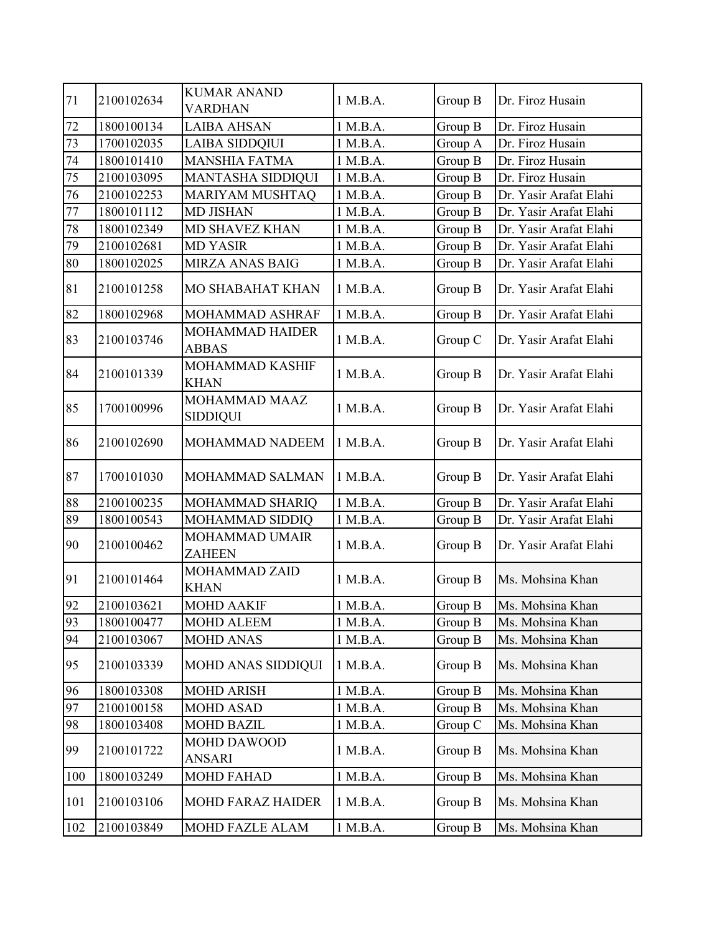| 71     | 2100102634 | <b>KUMAR ANAND</b><br><b>VARDHAN</b>   | 1 M.B.A. | Group B | Dr. Firoz Husain       |
|--------|------------|----------------------------------------|----------|---------|------------------------|
| 72     | 1800100134 | <b>LAIBA AHSAN</b>                     | 1 M.B.A. | Group B | Dr. Firoz Husain       |
| 73     | 1700102035 | <b>LAIBA SIDDQIUI</b>                  | 1 M.B.A. | Group A | Dr. Firoz Husain       |
| $74\,$ | 1800101410 | <b>MANSHIA FATMA</b>                   | 1 M.B.A. | Group B | Dr. Firoz Husain       |
| $75\,$ | 2100103095 | <b>MANTASHA SIDDIQUI</b>               | 1 M.B.A. | Group B | Dr. Firoz Husain       |
| 76     | 2100102253 | <b>MARIYAM MUSHTAQ</b>                 | 1 M.B.A. | Group B | Dr. Yasir Arafat Elahi |
| 77     | 1800101112 | <b>MD JISHAN</b>                       | 1 M.B.A. | Group B | Dr. Yasir Arafat Elahi |
| $78\,$ | 1800102349 | <b>MD SHAVEZ KHAN</b>                  | 1 M.B.A. | Group B | Dr. Yasir Arafat Elahi |
| 79     | 2100102681 | <b>MD YASIR</b>                        | 1 M.B.A. | Group B | Dr. Yasir Arafat Elahi |
| 80     | 1800102025 | MIRZA ANAS BAIG                        | 1 M.B.A. | Group B | Dr. Yasir Arafat Elahi |
| 81     | 2100101258 | <b>MO SHABAHAT KHAN</b>                | 1 M.B.A. | Group B | Dr. Yasir Arafat Elahi |
| 82     | 1800102968 | MOHAMMAD ASHRAF                        | 1 M.B.A. | Group B | Dr. Yasir Arafat Elahi |
| 83     | 2100103746 | <b>MOHAMMAD HAIDER</b><br><b>ABBAS</b> | 1 M.B.A. | Group C | Dr. Yasir Arafat Elahi |
| 84     | 2100101339 | MOHAMMAD KASHIF<br><b>KHAN</b>         | 1 M.B.A. | Group B | Dr. Yasir Arafat Elahi |
| 85     | 1700100996 | MOHAMMAD MAAZ<br><b>SIDDIQUI</b>       | 1 M.B.A. | Group B | Dr. Yasir Arafat Elahi |
| 86     | 2100102690 | MOHAMMAD NADEEM                        | 1 M.B.A. | Group B | Dr. Yasir Arafat Elahi |
| 87     | 1700101030 | MOHAMMAD SALMAN                        | 1 M.B.A. | Group B | Dr. Yasir Arafat Elahi |
| 88     | 2100100235 | MOHAMMAD SHARIQ                        | 1 M.B.A. | Group B | Dr. Yasir Arafat Elahi |
| 89     | 1800100543 | MOHAMMAD SIDDIQ                        | 1 M.B.A. | Group B | Dr. Yasir Arafat Elahi |
| 90     | 2100100462 | MOHAMMAD UMAIR<br><b>ZAHEEN</b>        | 1 M.B.A. | Group B | Dr. Yasir Arafat Elahi |
| 91     | 2100101464 | MOHAMMAD ZAID<br><b>KHAN</b>           | 1 M.B.A. | Group B | Ms. Mohsina Khan       |
| 92     | 2100103621 | <b>MOHD AAKIF</b>                      | 1 M.B.A. | Group B | Ms. Mohsina Khan       |
| 93     | 1800100477 | <b>MOHD ALEEM</b>                      | 1 M.B.A. | Group B | Ms. Mohsina Khan       |
| 94     | 2100103067 | <b>MOHD ANAS</b>                       | 1 M.B.A. | Group B | Ms. Mohsina Khan       |
| 95     | 2100103339 | MOHD ANAS SIDDIQUI                     | 1 M.B.A. | Group B | Ms. Mohsina Khan       |
| 96     | 1800103308 | <b>MOHD ARISH</b>                      | 1 M.B.A. | Group B | Ms. Mohsina Khan       |
| 97     | 2100100158 | <b>MOHD ASAD</b>                       | 1 M.B.A. | Group B | Ms. Mohsina Khan       |
| 98     | 1800103408 | <b>MOHD BAZIL</b>                      | 1 M.B.A. | Group C | Ms. Mohsina Khan       |
| 99     | 2100101722 | MOHD DAWOOD<br><b>ANSARI</b>           | 1 M.B.A. | Group B | Ms. Mohsina Khan       |
| 100    | 1800103249 | <b>MOHD FAHAD</b>                      | 1 M.B.A. | Group B | Ms. Mohsina Khan       |
| 101    | 2100103106 | <b>MOHD FARAZ HAIDER</b>               | 1 M.B.A. | Group B | Ms. Mohsina Khan       |
| 102    | 2100103849 | <b>MOHD FAZLE ALAM</b>                 | 1 M.B.A. | Group B | Ms. Mohsina Khan       |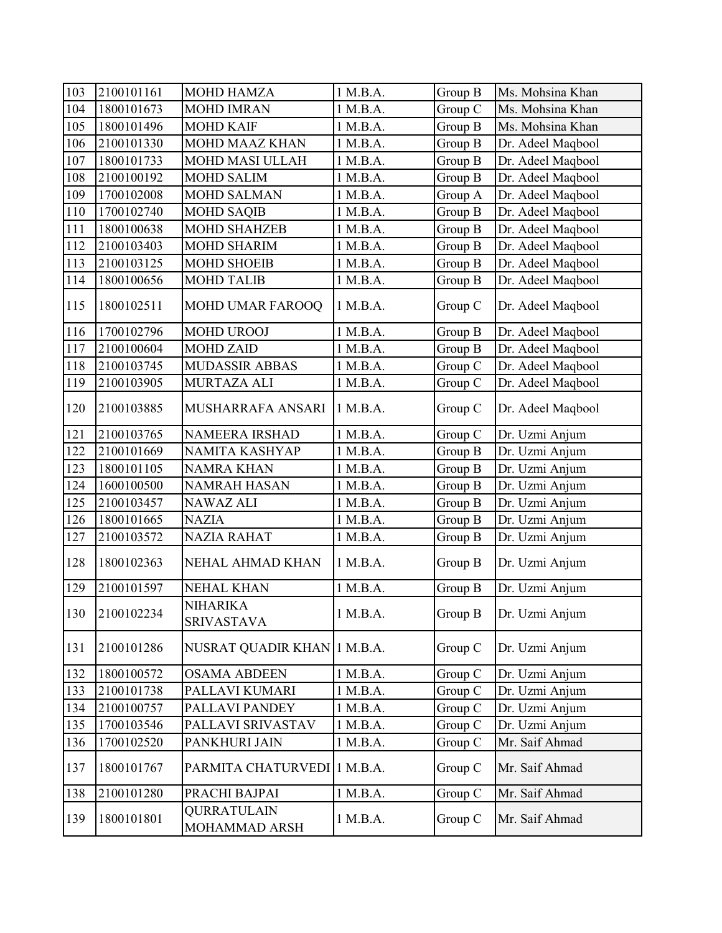| 103 | 2100101161 | <b>MOHD HAMZA</b>                    | 1 M.B.A. | Group B | Ms. Mohsina Khan  |
|-----|------------|--------------------------------------|----------|---------|-------------------|
| 104 | 1800101673 | <b>MOHD IMRAN</b>                    | 1 M.B.A. | Group C | Ms. Mohsina Khan  |
| 105 | 1800101496 | <b>MOHD KAIF</b>                     | 1 M.B.A. | Group B | Ms. Mohsina Khan  |
| 106 | 2100101330 | <b>MOHD MAAZ KHAN</b>                | 1 M.B.A. | Group B | Dr. Adeel Maqbool |
| 107 | 1800101733 | <b>MOHD MASI ULLAH</b>               | 1 M.B.A. | Group B | Dr. Adeel Maqbool |
| 108 | 2100100192 | <b>MOHD SALIM</b>                    | 1 M.B.A. | Group B | Dr. Adeel Maqbool |
| 109 | 1700102008 | <b>MOHD SALMAN</b>                   | 1 M.B.A. | Group A | Dr. Adeel Maqbool |
| 110 | 1700102740 | <b>MOHD SAQIB</b>                    | 1 M.B.A. | Group B | Dr. Adeel Maqbool |
| 111 | 1800100638 | <b>MOHD SHAHZEB</b>                  | 1 M.B.A. | Group B | Dr. Adeel Maqbool |
| 112 | 2100103403 | <b>MOHD SHARIM</b>                   | 1 M.B.A. | Group B | Dr. Adeel Maqbool |
| 113 | 2100103125 | <b>MOHD SHOEIB</b>                   | 1 M.B.A. | Group B | Dr. Adeel Maqbool |
| 114 | 1800100656 | <b>MOHD TALIB</b>                    | 1 M.B.A. | Group B | Dr. Adeel Maqbool |
| 115 | 1800102511 | MOHD UMAR FAROOQ                     | 1 M.B.A. | Group C | Dr. Adeel Maqbool |
| 116 | 1700102796 | <b>MOHD UROOJ</b>                    | 1 M.B.A. | Group B | Dr. Adeel Maqbool |
| 117 | 2100100604 | <b>MOHD ZAID</b>                     | 1 M.B.A. | Group B | Dr. Adeel Maqbool |
| 118 | 2100103745 | <b>MUDASSIR ABBAS</b>                | 1 M.B.A. | Group C | Dr. Adeel Maqbool |
| 119 | 2100103905 | <b>MURTAZA ALI</b>                   | 1 M.B.A. | Group C | Dr. Adeel Maqbool |
| 120 | 2100103885 | MUSHARRAFA ANSARI                    | 1 M.B.A. | Group C | Dr. Adeel Maqbool |
| 121 | 2100103765 | NAMEERA IRSHAD                       | 1 M.B.A. | Group C | Dr. Uzmi Anjum    |
| 122 | 2100101669 | NAMITA KASHYAP                       | 1 M.B.A. | Group B | Dr. Uzmi Anjum    |
| 123 | 1800101105 | <b>NAMRA KHAN</b>                    | 1 M.B.A. | Group B | Dr. Uzmi Anjum    |
| 124 | 1600100500 | <b>NAMRAH HASAN</b>                  | 1 M.B.A. | Group B | Dr. Uzmi Anjum    |
| 125 | 2100103457 | NAWAZ ALI                            | 1 M.B.A. | Group B | Dr. Uzmi Anjum    |
| 126 | 1800101665 | <b>NAZIA</b>                         | 1 M.B.A. | Group B | Dr. Uzmi Anjum    |
| 127 | 2100103572 | <b>NAZIA RAHAT</b>                   | 1 M.B.A. | Group B | Dr. Uzmi Anjum    |
| 128 | 1800102363 | NEHAL AHMAD KHAN                     | 1 M.B.A. | Group B | Dr. Uzmi Anjum    |
| 129 | 2100101597 | <b>NEHAL KHAN</b>                    | 1 M.B.A. | Group B | Dr. Uzmi Anjum    |
| 130 | 2100102234 | <b>NIHARIKA</b><br><b>SRIVASTAVA</b> | 1 M.B.A. | Group B | Dr. Uzmi Anjum    |
| 131 | 2100101286 | NUSRAT QUADIR KHAN 1 M.B.A.          |          | Group C | Dr. Uzmi Anjum    |
| 132 | 1800100572 | <b>OSAMA ABDEEN</b>                  | 1 M.B.A. | Group C | Dr. Uzmi Anjum    |
| 133 | 2100101738 | PALLAVI KUMARI                       | 1 M.B.A. | Group C | Dr. Uzmi Anjum    |
| 134 | 2100100757 | PALLAVI PANDEY                       | 1 M.B.A. | Group C | Dr. Uzmi Anjum    |
| 135 | 1700103546 | PALLAVI SRIVASTAV                    | 1 M.B.A. | Group C | Dr. Uzmi Anjum    |
| 136 | 1700102520 | PANKHURI JAIN                        | 1 M.B.A. | Group C | Mr. Saif Ahmad    |
| 137 | 1800101767 | PARMITA CHATURVEDI 1 M.B.A.          |          | Group C | Mr. Saif Ahmad    |
| 138 | 2100101280 | PRACHI BAJPAI                        | 1 M.B.A. | Group C | Mr. Saif Ahmad    |
| 139 | 1800101801 | <b>QURRATULAIN</b><br>MOHAMMAD ARSH  | 1 M.B.A. | Group C | Mr. Saif Ahmad    |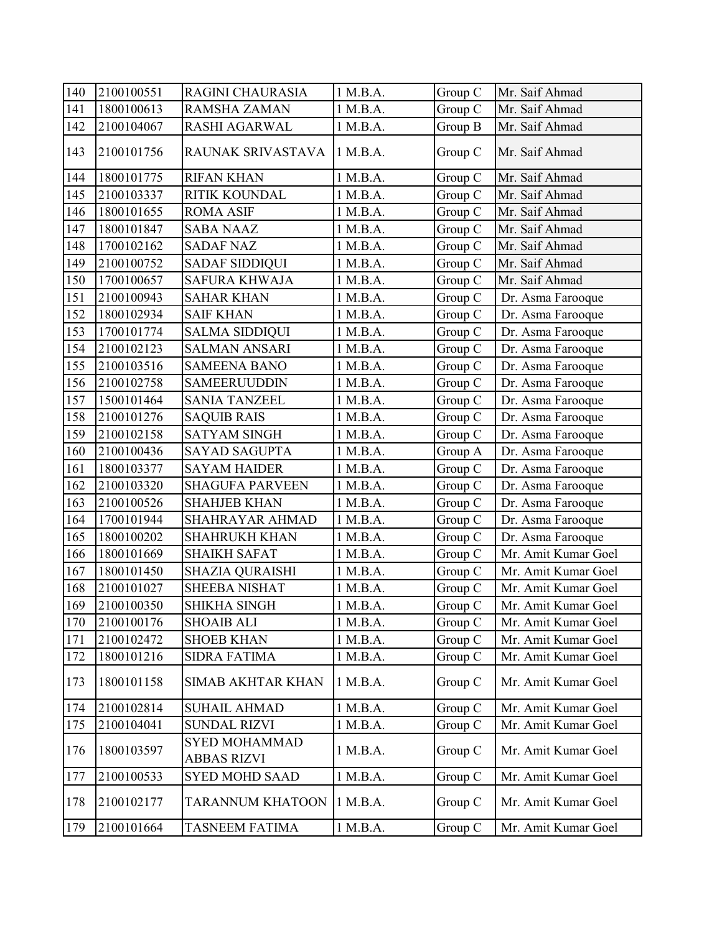| 140 | 2100100551 | RAGINI CHAURASIA                           | 1 M.B.A. | Group C | Mr. Saif Ahmad      |
|-----|------------|--------------------------------------------|----------|---------|---------------------|
| 141 | 1800100613 | <b>RAMSHA ZAMAN</b>                        | 1 M.B.A. | Group C | Mr. Saif Ahmad      |
| 142 | 2100104067 | RASHI AGARWAL                              | 1 M.B.A. | Group B | Mr. Saif Ahmad      |
| 143 | 2100101756 | RAUNAK SRIVASTAVA                          | 1 M.B.A. | Group C | Mr. Saif Ahmad      |
| 144 | 1800101775 | <b>RIFAN KHAN</b>                          | 1 M.B.A. | Group C | Mr. Saif Ahmad      |
| 145 | 2100103337 | <b>RITIK KOUNDAL</b>                       | 1 M.B.A. | Group C | Mr. Saif Ahmad      |
| 146 | 1800101655 | <b>ROMA ASIF</b>                           | 1 M.B.A. | Group C | Mr. Saif Ahmad      |
| 147 | 1800101847 | <b>SABA NAAZ</b>                           | 1 M.B.A. | Group C | Mr. Saif Ahmad      |
| 148 | 1700102162 | <b>SADAF NAZ</b>                           | 1 M.B.A. | Group C | Mr. Saif Ahmad      |
| 149 | 2100100752 | <b>SADAF SIDDIQUI</b>                      | 1 M.B.A. | Group C | Mr. Saif Ahmad      |
| 150 | 1700100657 | <b>SAFURA KHWAJA</b>                       | 1 M.B.A. | Group C | Mr. Saif Ahmad      |
| 151 | 2100100943 | <b>SAHAR KHAN</b>                          | 1 M.B.A. | Group C | Dr. Asma Farooque   |
| 152 | 1800102934 | <b>SAIF KHAN</b>                           | 1 M.B.A. | Group C | Dr. Asma Farooque   |
| 153 | 1700101774 | <b>SALMA SIDDIQUI</b>                      | 1 M.B.A. | Group C | Dr. Asma Farooque   |
| 154 | 2100102123 | <b>SALMAN ANSARI</b>                       | 1 M.B.A. | Group C | Dr. Asma Farooque   |
| 155 | 2100103516 | <b>SAMEENA BANO</b>                        | 1 M.B.A. | Group C | Dr. Asma Farooque   |
| 156 | 2100102758 | <b>SAMEERUUDDIN</b>                        | 1 M.B.A. | Group C | Dr. Asma Farooque   |
| 157 | 1500101464 | <b>SANIA TANZEEL</b>                       | 1 M.B.A. | Group C | Dr. Asma Farooque   |
| 158 | 2100101276 | <b>SAQUIB RAIS</b>                         | 1 M.B.A. | Group C | Dr. Asma Farooque   |
| 159 | 2100102158 | <b>SATYAM SINGH</b>                        | 1 M.B.A. | Group C | Dr. Asma Farooque   |
| 160 | 2100100436 | <b>SAYAD SAGUPTA</b>                       | 1 M.B.A. | Group A | Dr. Asma Farooque   |
| 161 | 1800103377 | <b>SAYAM HAIDER</b>                        | 1 M.B.A. | Group C | Dr. Asma Farooque   |
| 162 | 2100103320 | <b>SHAGUFA PARVEEN</b>                     | 1 M.B.A. | Group C | Dr. Asma Farooque   |
| 163 | 2100100526 | <b>SHAHJEB KHAN</b>                        | 1 M.B.A. | Group C | Dr. Asma Farooque   |
| 164 | 1700101944 | SHAHRAYAR AHMAD                            | 1 M.B.A. | Group C | Dr. Asma Farooque   |
| 165 | 1800100202 | <b>SHAHRUKH KHAN</b>                       | 1 M.B.A. | Group C | Dr. Asma Farooque   |
| 166 | 1800101669 | <b>SHAIKH SAFAT</b>                        | 1 M.B.A. | Group C | Mr. Amit Kumar Goel |
| 167 | 1800101450 | <b>SHAZIA QURAISHI</b>                     | 1 M.B.A. | Group C | Mr. Amit Kumar Goel |
| 168 | 2100101027 | <b>SHEEBA NISHAT</b>                       | 1 M.B.A. | Group C | Mr. Amit Kumar Goel |
| 169 | 2100100350 | SHIKHA SINGH                               | 1 M.B.A. | Group C | Mr. Amit Kumar Goel |
| 170 | 2100100176 | <b>SHOAIB ALI</b>                          | 1 M.B.A. | Group C | Mr. Amit Kumar Goel |
| 171 | 2100102472 | <b>SHOEB KHAN</b>                          | 1 M.B.A. | Group C | Mr. Amit Kumar Goel |
| 172 | 1800101216 | <b>SIDRA FATIMA</b>                        | 1 M.B.A. | Group C | Mr. Amit Kumar Goel |
| 173 | 1800101158 | <b>SIMAB AKHTAR KHAN</b>                   | 1 M.B.A. | Group C | Mr. Amit Kumar Goel |
| 174 | 2100102814 | <b>SUHAIL AHMAD</b>                        | 1 M.B.A. | Group C | Mr. Amit Kumar Goel |
| 175 | 2100104041 | <b>SUNDAL RIZVI</b>                        | 1 M.B.A. | Group C | Mr. Amit Kumar Goel |
| 176 | 1800103597 | <b>SYED MOHAMMAD</b><br><b>ABBAS RIZVI</b> | 1 M.B.A. | Group C | Mr. Amit Kumar Goel |
| 177 | 2100100533 | <b>SYED MOHD SAAD</b>                      | 1 M.B.A. | Group C | Mr. Amit Kumar Goel |
| 178 | 2100102177 | TARANNUM KHATOON                           | 1 M.B.A. | Group C | Mr. Amit Kumar Goel |
| 179 | 2100101664 | <b>TASNEEM FATIMA</b>                      | 1 M.B.A. | Group C | Mr. Amit Kumar Goel |
|     |            |                                            |          |         |                     |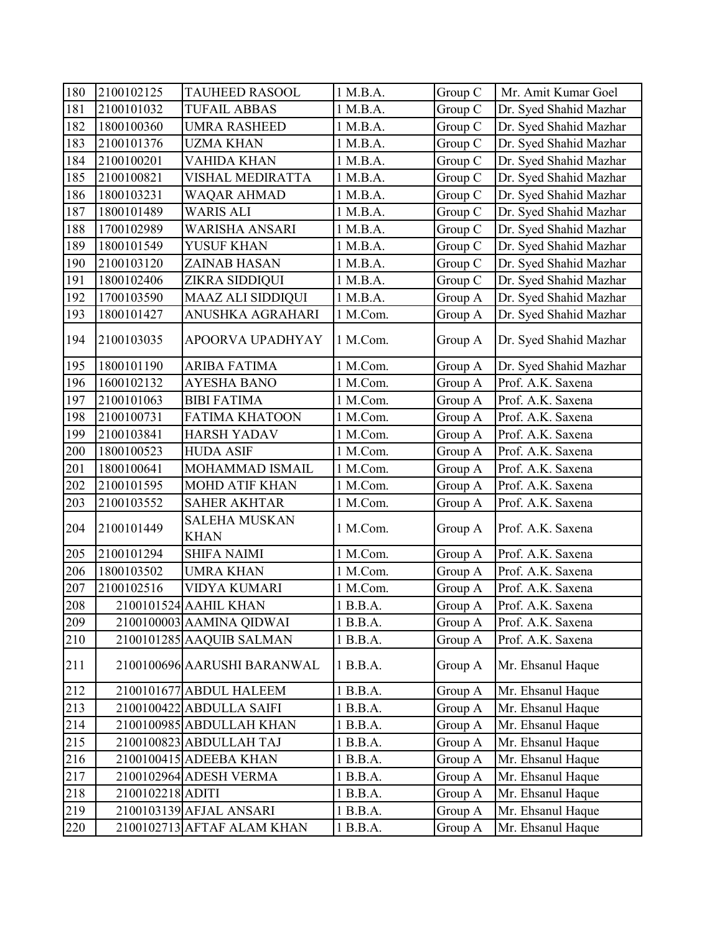| 180 | 2100102125       | <b>TAUHEED RASOOL</b>               | 1 M.B.A. | Group C | Mr. Amit Kumar Goel    |
|-----|------------------|-------------------------------------|----------|---------|------------------------|
| 181 | 2100101032       | <b>TUFAIL ABBAS</b>                 | 1 M.B.A. | Group C | Dr. Syed Shahid Mazhar |
| 182 | 1800100360       | <b>UMRA RASHEED</b>                 | 1 M.B.A. | Group C | Dr. Syed Shahid Mazhar |
| 183 | 2100101376       | <b>UZMA KHAN</b>                    | 1 M.B.A. | Group C | Dr. Syed Shahid Mazhar |
| 184 | 2100100201       | <b>VAHIDA KHAN</b>                  | 1 M.B.A. | Group C | Dr. Syed Shahid Mazhar |
| 185 | 2100100821       | VISHAL MEDIRATTA                    | 1 M.B.A. | Group C | Dr. Syed Shahid Mazhar |
| 186 | 1800103231       | <b>WAQAR AHMAD</b>                  | 1 M.B.A. | Group C | Dr. Syed Shahid Mazhar |
| 187 | 1800101489       | <b>WARIS ALI</b>                    | 1 M.B.A. | Group C | Dr. Syed Shahid Mazhar |
| 188 | 1700102989       | WARISHA ANSARI                      | 1 M.B.A. | Group C | Dr. Syed Shahid Mazhar |
| 189 | 1800101549       | YUSUF KHAN                          | 1 M.B.A. | Group C | Dr. Syed Shahid Mazhar |
| 190 | 2100103120       | ZAINAB HASAN                        | 1 M.B.A. | Group C | Dr. Syed Shahid Mazhar |
| 191 | 1800102406       | ZIKRA SIDDIQUI                      | 1 M.B.A. | Group C | Dr. Syed Shahid Mazhar |
| 192 | 1700103590       | <b>MAAZ ALI SIDDIQUI</b>            | 1 M.B.A. | Group A | Dr. Syed Shahid Mazhar |
| 193 | 1800101427       | ANUSHKA AGRAHARI                    | 1 M.Com. | Group A | Dr. Syed Shahid Mazhar |
| 194 | 2100103035       | APOORVA UPADHYAY                    | 1 M.Com. | Group A | Dr. Syed Shahid Mazhar |
| 195 | 1800101190       | <b>ARIBA FATIMA</b>                 | 1 M.Com. | Group A | Dr. Syed Shahid Mazhar |
| 196 | 1600102132       | <b>AYESHA BANO</b>                  | 1 M.Com. | Group A | Prof. A.K. Saxena      |
| 197 | 2100101063       | <b>BIBI FATIMA</b>                  | 1 M.Com. | Group A | Prof. A.K. Saxena      |
| 198 | 2100100731       | <b>FATIMA KHATOON</b>               | 1 M.Com. | Group A | Prof. A.K. Saxena      |
| 199 | 2100103841       | <b>HARSH YADAV</b>                  | 1 M.Com. | Group A | Prof. A.K. Saxena      |
| 200 | 1800100523       | <b>HUDA ASIF</b>                    | 1 M.Com. | Group A | Prof. A.K. Saxena      |
| 201 | 1800100641       | MOHAMMAD ISMAIL                     | 1 M.Com. | Group A | Prof. A.K. Saxena      |
| 202 | 2100101595       | <b>MOHD ATIF KHAN</b>               | 1 M.Com. | Group A | Prof. A.K. Saxena      |
| 203 | 2100103552       | <b>SAHER AKHTAR</b>                 | 1 M.Com. | Group A | Prof. A.K. Saxena      |
| 204 | 2100101449       | <b>SALEHA MUSKAN</b><br><b>KHAN</b> | 1 M.Com. | Group A | Prof. A.K. Saxena      |
| 205 | 2100101294       | <b>SHIFA NAIMI</b>                  | 1 M.Com. | Group A | Prof. A.K. Saxena      |
| 206 | 1800103502       | <b>UMRA KHAN</b>                    | 1 M.Com. | Group A | Prof. A.K. Saxena      |
| 207 | 2100102516       | <b>VIDYA KUMARI</b>                 | 1 M.Com. | Group A | Prof. A.K. Saxena      |
| 208 |                  | 2100101524 AAHIL KHAN               | 1 B.B.A. | Group A | Prof. A.K. Saxena      |
| 209 |                  | 2100100003 AAMINA QIDWAI            | 1 B.B.A. | Group A | Prof. A.K. Saxena      |
| 210 |                  | 2100101285 AAQUIB SALMAN            | 1 B.B.A. | Group A | Prof. A.K. Saxena      |
| 211 |                  | 2100100696 AARUSHI BARANWAL         | 1 B.B.A. | Group A | Mr. Ehsanul Haque      |
| 212 |                  | 2100101677 ABDUL HALEEM             | 1 B.B.A. | Group A | Mr. Ehsanul Haque      |
| 213 |                  | 2100100422 ABDULLA SAIFI            | 1 B.B.A. | Group A | Mr. Ehsanul Haque      |
| 214 |                  | 2100100985 ABDULLAH KHAN            | 1 B.B.A. | Group A | Mr. Ehsanul Haque      |
| 215 |                  | 2100100823 ABDULLAH TAJ             | 1 B.B.A. | Group A | Mr. Ehsanul Haque      |
| 216 |                  | 2100100415 ADEEBA KHAN              | 1 B.B.A. | Group A | Mr. Ehsanul Haque      |
| 217 |                  | 2100102964 ADESH VERMA              | 1 B.B.A. | Group A | Mr. Ehsanul Haque      |
| 218 | 2100102218 ADITI |                                     | 1 B.B.A. | Group A | Mr. Ehsanul Haque      |
| 219 |                  | 2100103139 AFJAL ANSARI             | 1 B.B.A. | Group A | Mr. Ehsanul Haque      |
| 220 |                  | 2100102713 AFTAF ALAM KHAN          | 1 B.B.A. | Group A | Mr. Ehsanul Haque      |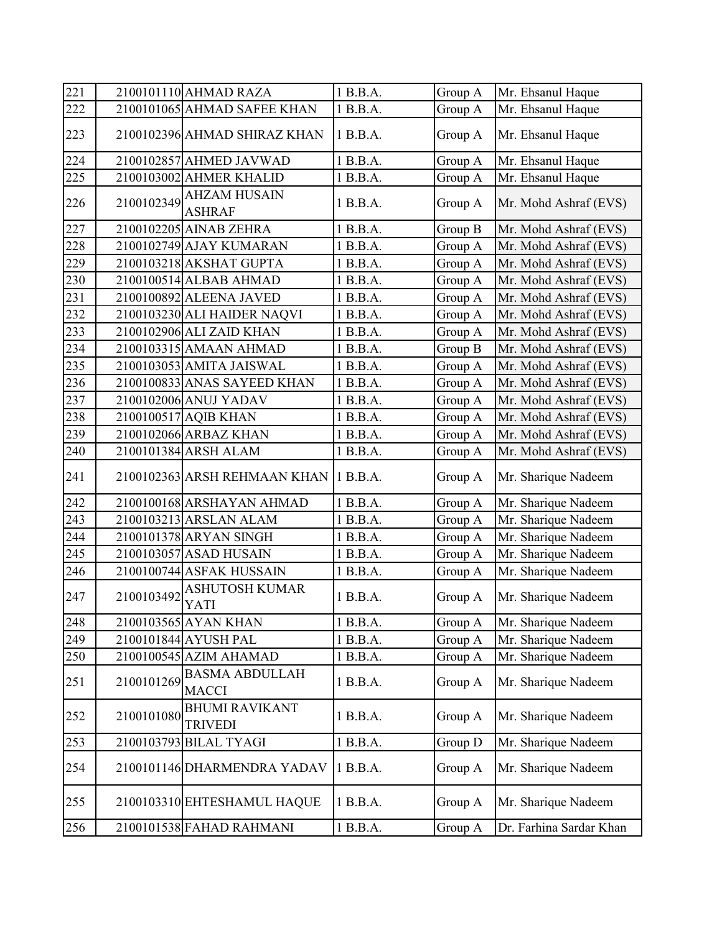| 221 |            | 2100101110 AHMAD RAZA                         | 1 B.B.A. | Group A | Mr. Ehsanul Haque       |
|-----|------------|-----------------------------------------------|----------|---------|-------------------------|
| 222 |            | 2100101065 AHMAD SAFEE KHAN                   | 1 B.B.A. | Group A | Mr. Ehsanul Haque       |
| 223 |            | 2100102396 AHMAD SHIRAZ KHAN                  | 1 B.B.A. | Group A | Mr. Ehsanul Haque       |
| 224 |            | 2100102857 AHMED JAVWAD                       | 1 B.B.A. | Group A | Mr. Ehsanul Haque       |
| 225 |            | 2100103002 AHMER KHALID                       | 1 B.B.A. | Group A | Mr. Ehsanul Haque       |
| 226 |            | $2100102349$<br>AHZAM HUSAIN<br><b>ASHRAF</b> | 1 B.B.A. | Group A | Mr. Mohd Ashraf (EVS)   |
| 227 |            | 2100102205 AINAB ZEHRA                        | 1 B.B.A. | Group B | Mr. Mohd Ashraf (EVS)   |
| 228 |            | 2100102749 AJAY KUMARAN                       | 1 B.B.A. | Group A | Mr. Mohd Ashraf (EVS)   |
| 229 |            | 2100103218 AKSHAT GUPTA                       | 1 B.B.A. | Group A | Mr. Mohd Ashraf (EVS)   |
| 230 |            | 2100100514 ALBAB AHMAD                        | 1 B.B.A. | Group A | Mr. Mohd Ashraf (EVS)   |
| 231 |            | 2100100892 ALEENA JAVED                       | 1 B.B.A. | Group A | Mr. Mohd Ashraf (EVS)   |
| 232 |            | 2100103230 ALI HAIDER NAQVI                   | 1 B.B.A. | Group A | Mr. Mohd Ashraf (EVS)   |
| 233 |            | 2100102906 ALI ZAID KHAN                      | 1 B.B.A. | Group A | Mr. Mohd Ashraf (EVS)   |
| 234 |            | 2100103315 AMAAN AHMAD                        | 1 B.B.A. | Group B | Mr. Mohd Ashraf (EVS)   |
| 235 |            | 2100103053 AMITA JAISWAL                      | 1 B.B.A. | Group A | Mr. Mohd Ashraf (EVS)   |
| 236 |            | 2100100833 ANAS SAYEED KHAN                   | 1 B.B.A. | Group A | Mr. Mohd Ashraf (EVS)   |
| 237 |            | 2100102006 ANUJ YADAV                         | 1 B.B.A. | Group A | Mr. Mohd Ashraf (EVS)   |
| 238 |            | 2100100517 AQIB KHAN                          | 1 B.B.A. | Group A | Mr. Mohd Ashraf (EVS)   |
| 239 |            | 2100102066 ARBAZ KHAN                         | 1 B.B.A. | Group A | Mr. Mohd Ashraf (EVS)   |
| 240 |            | 2100101384 ARSH ALAM                          | 1 B.B.A. | Group A | Mr. Mohd Ashraf (EVS)   |
| 241 |            | 2100102363 ARSH REHMAAN KHAN                  | 1 B.B.A. | Group A | Mr. Sharique Nadeem     |
| 242 |            | 2100100168 ARSHAYAN AHMAD                     | 1 B.B.A. | Group A | Mr. Sharique Nadeem     |
| 243 |            | 2100103213 ARSLAN ALAM                        | 1 B.B.A. | Group A | Mr. Sharique Nadeem     |
| 244 |            | 2100101378 ARYAN SINGH                        | 1 B.B.A. | Group A | Mr. Sharique Nadeem     |
| 245 |            | 2100103057 ASAD HUSAIN                        | 1 B.B.A. | Group A | Mr. Sharique Nadeem     |
| 246 |            | 2100100744 ASFAK HUSSAIN                      | 1 B.B.A. | Group A | Mr. Sharique Nadeem     |
| 247 | 2100103492 | <b>ASHUTOSH KUMAR</b><br>YATI                 | 1 B.B.A. | Group A | Mr. Sharique Nadeem     |
| 248 |            | 2100103565 AYAN KHAN                          | 1 B.B.A. | Group A | Mr. Sharique Nadeem     |
| 249 |            | 2100101844 AYUSH PAL                          | 1 B.B.A. | Group A | Mr. Sharique Nadeem     |
| 250 |            | 2100100545 AZIM AHAMAD                        | 1 B.B.A. | Group A | Mr. Sharique Nadeem     |
| 251 | 2100101269 | <b>BASMA ABDULLAH</b><br><b>MACCI</b>         | 1 B.B.A. | Group A | Mr. Sharique Nadeem     |
| 252 | 2100101080 | <b>BHUMI RAVIKANT</b><br><b>TRIVEDI</b>       | 1 B.B.A. | Group A | Mr. Sharique Nadeem     |
| 253 |            | 2100103793 BILAL TYAGI                        | 1 B.B.A. | Group D | Mr. Sharique Nadeem     |
| 254 |            | 2100101146 DHARMENDRA YADAV                   | 1 B.B.A. | Group A | Mr. Sharique Nadeem     |
| 255 |            | 2100103310 EHTESHAMUL HAQUE                   | 1 B.B.A. | Group A | Mr. Sharique Nadeem     |
| 256 |            | 2100101538 FAHAD RAHMANI                      | 1 B.B.A. | Group A | Dr. Farhina Sardar Khan |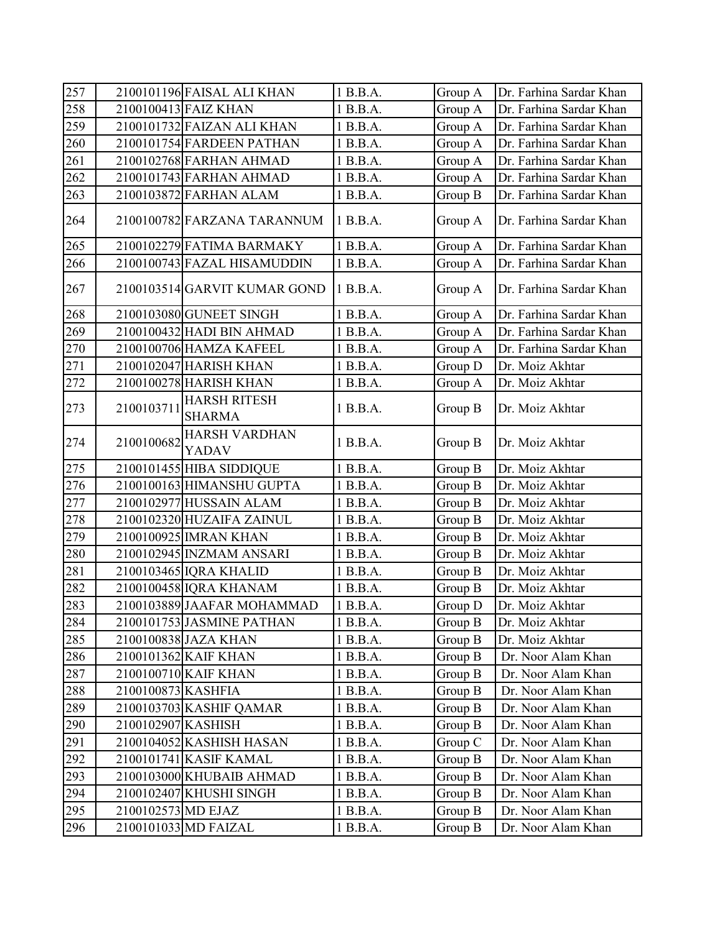| 257              |                    | 2100101196 FAISAL ALI KHAN           | 1 B.B.A. | Group A | Dr. Farhina Sardar Khan |
|------------------|--------------------|--------------------------------------|----------|---------|-------------------------|
| 258              |                    | 2100100413 FAIZ KHAN                 | 1 B.B.A. | Group A | Dr. Farhina Sardar Khan |
| 259              |                    | 2100101732 FAIZAN ALI KHAN           | 1 B.B.A. | Group A | Dr. Farhina Sardar Khan |
| 260              |                    | 2100101754 FARDEEN PATHAN            | 1 B.B.A. | Group A | Dr. Farhina Sardar Khan |
| 261              |                    | 2100102768 FARHAN AHMAD              | 1 B.B.A. | Group A | Dr. Farhina Sardar Khan |
| 262              |                    | 2100101743 FARHAN AHMAD              | 1 B.B.A. | Group A | Dr. Farhina Sardar Khan |
| 263              |                    | 2100103872 FARHAN ALAM               | 1 B.B.A. | Group B | Dr. Farhina Sardar Khan |
| 264              |                    | 2100100782 FARZANA TARANNUM          | 1 B.B.A. | Group A | Dr. Farhina Sardar Khan |
| 265              |                    | 2100102279 FATIMA BARMAKY            | 1 B.B.A. | Group A | Dr. Farhina Sardar Khan |
| 266              |                    | 2100100743 FAZAL HISAMUDDIN          | 1 B.B.A. | Group A | Dr. Farhina Sardar Khan |
| 267              |                    | 2100103514 GARVIT KUMAR GOND         | 1 B.B.A. | Group A | Dr. Farhina Sardar Khan |
| 268              |                    | 2100103080 GUNEET SINGH              | 1 B.B.A. | Group A | Dr. Farhina Sardar Khan |
| 269              |                    | 2100100432 HADI BIN AHMAD            | 1 B.B.A. | Group A | Dr. Farhina Sardar Khan |
| $\overline{270}$ |                    | 2100100706 HAMZA KAFEEL              | 1 B.B.A. | Group A | Dr. Farhina Sardar Khan |
| 271              |                    | 2100102047 HARISH KHAN               | 1 B.B.A. | Group D | Dr. Moiz Akhtar         |
| 272              |                    | 2100100278 HARISH KHAN               | 1 B.B.A. | Group A | Dr. Moiz Akhtar         |
| 273              | 2100103711         | <b>HARSH RITESH</b><br><b>SHARMA</b> | 1 B.B.A. | Group B | Dr. Moiz Akhtar         |
| 274              | 2100100682         | <b>HARSH VARDHAN</b><br><b>YADAV</b> | 1 B.B.A. | Group B | Dr. Moiz Akhtar         |
| 275              |                    | 2100101455 HIBA SIDDIQUE             | 1 B.B.A. | Group B | Dr. Moiz Akhtar         |
| $\overline{276}$ |                    | 2100100163 HIMANSHU GUPTA            | 1 B.B.A. | Group B | Dr. Moiz Akhtar         |
| 277              |                    | 2100102977 HUSSAIN ALAM              | 1 B.B.A. | Group B | Dr. Moiz Akhtar         |
| 278              |                    | 2100102320 HUZAIFA ZAINUL            | 1 B.B.A. | Group B | Dr. Moiz Akhtar         |
| 279              |                    | 2100100925 IMRAN KHAN                | 1 B.B.A. | Group B | Dr. Moiz Akhtar         |
| 280              |                    | 2100102945 INZMAM ANSARI             | 1 B.B.A. | Group B | Dr. Moiz Akhtar         |
| 281              |                    | 2100103465 IQRA KHALID               | 1 B.B.A. | Group B | Dr. Moiz Akhtar         |
| 282              |                    | 2100100458 IQRA KHANAM               | 1 B.B.A. | Group B | Dr. Moiz Akhtar         |
| 283              |                    | 2100103889 JAAFAR MOHAMMAD           | 1 B.B.A. | Group D | Dr. Moiz Akhtar         |
| 284              |                    | 2100101753 JASMINE PATHAN            | 1 B.B.A. | Group B | Dr. Moiz Akhtar         |
| 285              |                    | 2100100838 JAZA KHAN                 | 1 B.B.A. | Group B | Dr. Moiz Akhtar         |
| 286              |                    | 2100101362 KAIF KHAN                 | 1 B.B.A. | Group B | Dr. Noor Alam Khan      |
| 287              |                    | 2100100710 KAIF KHAN                 | 1 B.B.A. | Group B | Dr. Noor Alam Khan      |
| $\overline{288}$ | 2100100873 KASHFIA |                                      | 1 B.B.A. | Group B | Dr. Noor Alam Khan      |
| 289              |                    | 2100103703 KASHIF QAMAR              | 1 B.B.A. | Group B | Dr. Noor Alam Khan      |
| 290              | 2100102907 KASHISH |                                      | 1 B.B.A. | Group B | Dr. Noor Alam Khan      |
| 291              |                    | 2100104052 KASHISH HASAN             | 1 B.B.A. | Group C | Dr. Noor Alam Khan      |
| 292              |                    | 2100101741 KASIF KAMAL               | 1 B.B.A. | Group B | Dr. Noor Alam Khan      |
| 293              |                    | 2100103000 KHUBAIB AHMAD             | 1 B.B.A. | Group B | Dr. Noor Alam Khan      |
| 294              |                    | 2100102407 KHUSHI SINGH              | 1 B.B.A. | Group B | Dr. Noor Alam Khan      |
| 295              | 2100102573 MD EJAZ |                                      | 1 B.B.A. | Group B | Dr. Noor Alam Khan      |
| 296              |                    | 2100101033 MD FAIZAL                 | 1 B.B.A. | Group B | Dr. Noor Alam Khan      |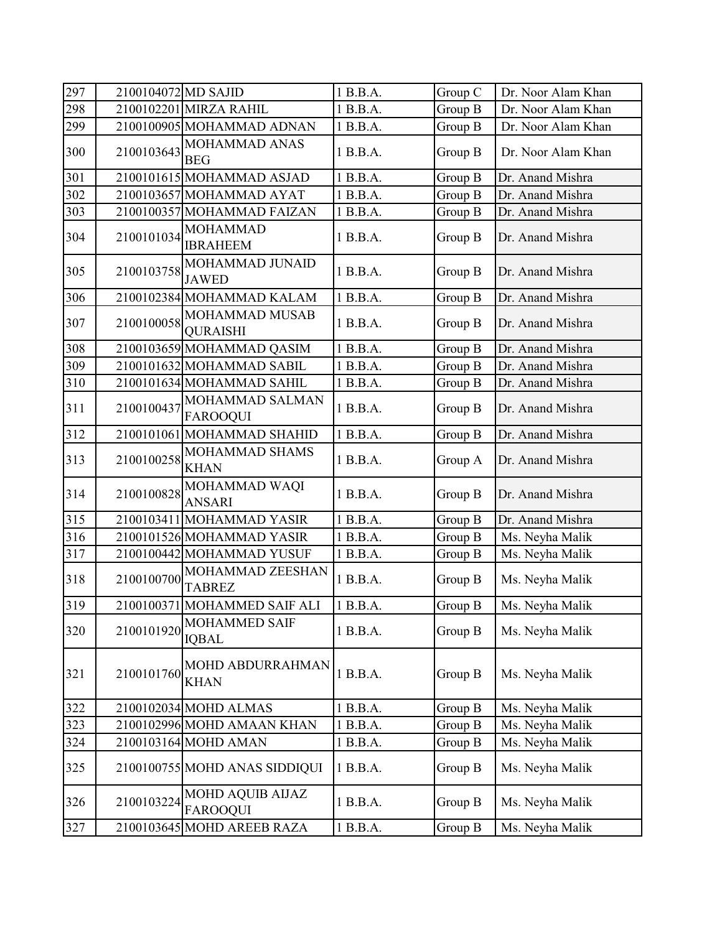| 297 | 2100104072 MD SAJID |                                            | 1 B.B.A. | Group C | Dr. Noor Alam Khan |
|-----|---------------------|--------------------------------------------|----------|---------|--------------------|
| 298 |                     | 2100102201 MIRZA RAHIL                     | 1 B.B.A. | Group B | Dr. Noor Alam Khan |
| 299 |                     | 2100100905 MOHAMMAD ADNAN                  | 1 B.B.A. | Group B | Dr. Noor Alam Khan |
| 300 | 2100103643          | MOHAMMAD ANAS<br><b>BEG</b>                | 1 B.B.A. | Group B | Dr. Noor Alam Khan |
| 301 |                     | 2100101615 MOHAMMAD ASJAD                  | 1 B.B.A. | Group B | Dr. Anand Mishra   |
| 302 |                     | 2100103657 MOHAMMAD AYAT                   | 1 B.B.A. | Group B | Dr. Anand Mishra   |
| 303 |                     | 2100100357 MOHAMMAD FAIZAN                 | 1 B.B.A. | Group B | Dr. Anand Mishra   |
| 304 | 2100101034          | <b>MOHAMMAD</b><br><b>IBRAHEEM</b>         | 1 B.B.A. | Group B | Dr. Anand Mishra   |
| 305 | 2100103758          | MOHAMMAD JUNAID<br><b>JAWED</b>            | 1 B.B.A. | Group B | Dr. Anand Mishra   |
| 306 |                     | 2100102384 MOHAMMAD KALAM                  | 1 B.B.A. | Group B | Dr. Anand Mishra   |
| 307 | 2100100058          | MOHAMMAD MUSAB<br><b>QURAISHI</b>          | 1 B.B.A. | Group B | Dr. Anand Mishra   |
| 308 |                     | 2100103659 MOHAMMAD QASIM                  | 1 B.B.A. | Group B | Dr. Anand Mishra   |
| 309 |                     | 2100101632 MOHAMMAD SABIL                  | 1 B.B.A. | Group B | Dr. Anand Mishra   |
| 310 |                     | 2100101634 MOHAMMAD SAHIL                  | 1 B.B.A. | Group B | Dr. Anand Mishra   |
| 311 | 2100100437          | MOHAMMAD SALMAN<br><b>FAROOQUI</b>         | 1 B.B.A. | Group B | Dr. Anand Mishra   |
| 312 |                     | 2100101061 MOHAMMAD SHAHID                 | 1 B.B.A. | Group B | Dr. Anand Mishra   |
| 313 | 2100100258          | MOHAMMAD SHAMS<br><b>KHAN</b>              | 1 B.B.A. | Group A | Dr. Anand Mishra   |
| 314 | 2100100828          | MOHAMMAD WAQI<br><b>ANSARI</b>             | 1 B.B.A. | Group B | Dr. Anand Mishra   |
| 315 |                     | 2100103411 MOHAMMAD YASIR                  | 1 B.B.A. | Group B | Dr. Anand Mishra   |
| 316 |                     | 2100101526 MOHAMMAD YASIR                  | 1 B.B.A. | Group B | Ms. Neyha Malik    |
| 317 |                     | 2100100442 MOHAMMAD YUSUF                  | 1 B.B.A. | Group B | Ms. Neyha Malik    |
| 318 | 2100100700          | MOHAMMAD ZEESHAN<br><b>TABREZ</b>          | 1 B.B.A. | Group B | Ms. Neyha Malik    |
| 319 |                     | 2100100371 MOHAMMED SAIF ALI               | 1 B.B.A. | Group B | Ms. Neyha Malik    |
| 320 | 2100101920          | MOHAMMED SAIF<br><b>IQBAL</b>              | 1 B.B.A. | Group B | Ms. Neyha Malik    |
| 321 | 2100101760          | MOHD ABDURRAHMAN<br><b>KHAN</b>            | 1 B.B.A. | Group B | Ms. Neyha Malik    |
| 322 |                     | 2100102034 MOHD ALMAS                      | 1 B.B.A. | Group B | Ms. Neyha Malik    |
| 323 |                     | 2100102996 MOHD AMAAN KHAN                 | 1 B.B.A. | Group B | Ms. Neyha Malik    |
| 324 |                     | 2100103164 MOHD AMAN                       | 1 B.B.A. | Group B | Ms. Neyha Malik    |
| 325 |                     | 2100100755 MOHD ANAS SIDDIQUI              | 1 B.B.A. | Group B | Ms. Neyha Malik    |
| 326 | 2100103224          | <b>MOHD AQUIB AIJAZ</b><br><b>FAROOQUI</b> | 1 B.B.A. | Group B | Ms. Neyha Malik    |
| 327 |                     | 2100103645 MOHD AREEB RAZA                 | 1 B.B.A. | Group B | Ms. Neyha Malik    |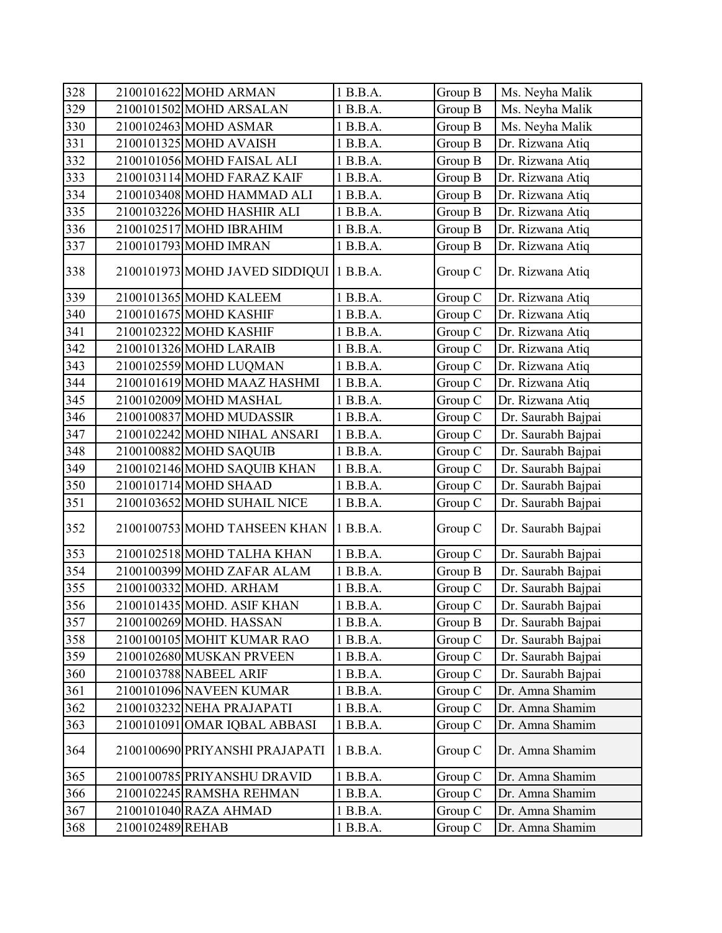| 328 | 2100101622 MOHD ARMAN                   | 1 B.B.A. | Group B | Ms. Neyha Malik    |
|-----|-----------------------------------------|----------|---------|--------------------|
| 329 | 2100101502 MOHD ARSALAN                 | 1 B.B.A. | Group B | Ms. Neyha Malik    |
| 330 | 2100102463 MOHD ASMAR                   | 1 B.B.A. | Group B | Ms. Neyha Malik    |
| 331 | 2100101325 MOHD AVAISH                  | 1 B.B.A. | Group B | Dr. Rizwana Atiq   |
| 332 | 2100101056 MOHD FAISAL ALI              | 1 B.B.A. | Group B | Dr. Rizwana Atiq   |
| 333 | 2100103114 MOHD FARAZ KAIF              | 1 B.B.A. | Group B | Dr. Rizwana Atiq   |
| 334 | 2100103408 MOHD HAMMAD ALI              | 1 B.B.A. | Group B | Dr. Rizwana Atiq   |
| 335 | 2100103226 MOHD HASHIR ALI              | 1 B.B.A. | Group B | Dr. Rizwana Atiq   |
| 336 | 2100102517 MOHD IBRAHIM                 | 1 B.B.A. | Group B | Dr. Rizwana Atiq   |
| 337 | 2100101793 MOHD IMRAN                   | 1 B.B.A. | Group B | Dr. Rizwana Atiq   |
| 338 | 2100101973 MOHD JAVED SIDDIQUI 1 B.B.A. |          | Group C | Dr. Rizwana Atiq   |
| 339 | 2100101365 MOHD KALEEM                  | 1 B.B.A. | Group C | Dr. Rizwana Atiq   |
| 340 | 2100101675 MOHD KASHIF                  | 1 B.B.A. | Group C | Dr. Rizwana Atiq   |
| 341 | 2100102322 MOHD KASHIF                  | 1 B.B.A. | Group C | Dr. Rizwana Atiq   |
| 342 | 2100101326 MOHD LARAIB                  | 1 B.B.A. | Group C | Dr. Rizwana Atiq   |
| 343 | 2100102559 MOHD LUQMAN                  | 1 B.B.A. | Group C | Dr. Rizwana Atiq   |
| 344 | 2100101619 MOHD MAAZ HASHMI             | 1 B.B.A. | Group C | Dr. Rizwana Atiq   |
| 345 | 2100102009 MOHD MASHAL                  | 1 B.B.A. | Group C | Dr. Rizwana Atiq   |
| 346 | 2100100837 MOHD MUDASSIR                | 1 B.B.A. | Group C | Dr. Saurabh Bajpai |
| 347 | 2100102242 MOHD NIHAL ANSARI            | 1 B.B.A. | Group C | Dr. Saurabh Bajpai |
| 348 | 2100100882 MOHD SAQUIB                  | 1 B.B.A. | Group C | Dr. Saurabh Bajpai |
| 349 | 2100102146 MOHD SAQUIB KHAN             | 1 B.B.A. | Group C | Dr. Saurabh Bajpai |
| 350 | 2100101714 MOHD SHAAD                   | 1 B.B.A. | Group C | Dr. Saurabh Bajpai |
| 351 | 2100103652 MOHD SUHAIL NICE             | 1 B.B.A. | Group C | Dr. Saurabh Bajpai |
| 352 | 2100100753 MOHD TAHSEEN KHAN   1 B.B.A. |          | Group C | Dr. Saurabh Bajpai |
| 353 | 2100102518 MOHD TALHA KHAN              | 1 B.B.A. | Group C | Dr. Saurabh Bajpai |
| 354 | 2100100399 MOHD ZAFAR ALAM              | 1 B.B.A. | Group B | Dr. Saurabh Bajpai |
| 355 | 2100100332 MOHD. ARHAM                  | 1 B.B.A. | Group C | Dr. Saurabh Bajpai |
| 356 | 2100101435 MOHD. ASIF KHAN              | 1 B.B.A. | Group C | Dr. Saurabh Bajpai |
| 357 | 2100100269 MOHD. HASSAN                 | 1 B.B.A. | Group B | Dr. Saurabh Bajpai |
| 358 | 2100100105 MOHIT KUMAR RAO              | 1 B.B.A. | Group C | Dr. Saurabh Bajpai |
| 359 | 2100102680 MUSKAN PRVEEN                | 1 B.B.A. | Group C | Dr. Saurabh Bajpai |
| 360 | 2100103788 NABEEL ARIF                  | 1 B.B.A. | Group C | Dr. Saurabh Bajpai |
| 361 | 2100101096 NAVEEN KUMAR                 | 1 B.B.A. | Group C | Dr. Amna Shamim    |
| 362 | 2100103232 NEHA PRAJAPATI               | 1 B.B.A. | Group C | Dr. Amna Shamim    |
| 363 | 2100101091 OMAR IQBAL ABBASI            | 1 B.B.A. | Group C | Dr. Amna Shamim    |
| 364 | 2100100690 PRIYANSHI PRAJAPATI          | 1 B.B.A. | Group C | Dr. Amna Shamim    |
| 365 | 2100100785 PRIYANSHU DRAVID             | 1 B.B.A. | Group C | Dr. Amna Shamim    |
| 366 | 2100102245 RAMSHA REHMAN                | 1 B.B.A. | Group C | Dr. Amna Shamim    |
| 367 | 2100101040 RAZA AHMAD                   | 1 B.B.A. | Group C | Dr. Amna Shamim    |
| 368 | 2100102489 REHAB                        | 1 B.B.A. | Group C | Dr. Amna Shamim    |
|     |                                         |          |         |                    |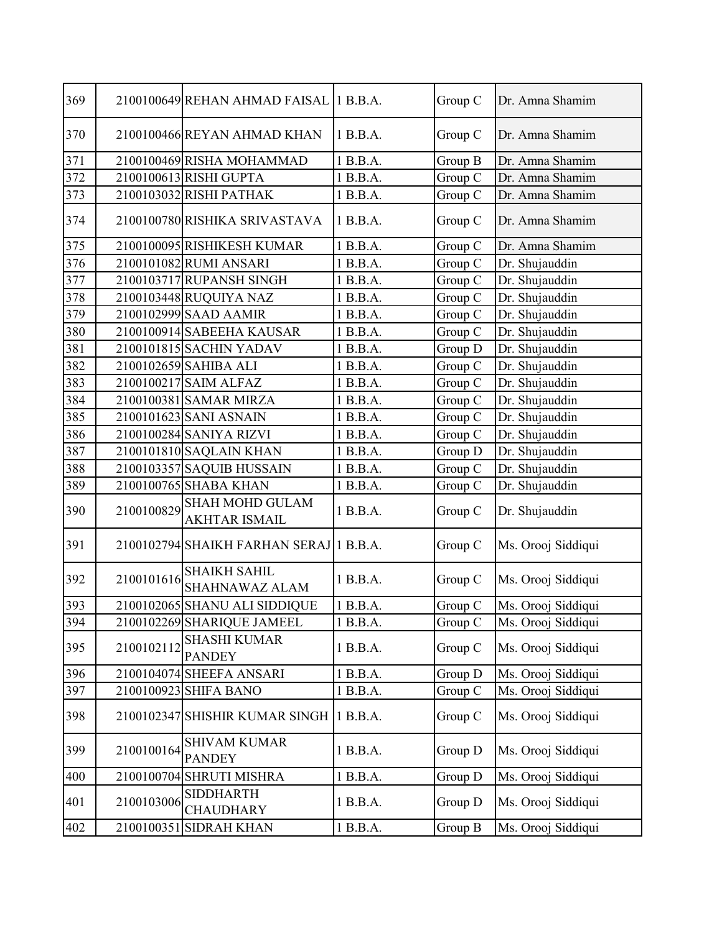| 369 |            | 2100100649 REHAN AHMAD FAISAL 1 B.B.A.         |          | Group C | Dr. Amna Shamim    |
|-----|------------|------------------------------------------------|----------|---------|--------------------|
| 370 |            | 2100100466 REYAN AHMAD KHAN                    | 1 B.B.A. | Group C | Dr. Amna Shamim    |
| 371 |            | 2100100469 RISHA MOHAMMAD                      | 1 B.B.A. | Group B | Dr. Amna Shamim    |
| 372 |            | 2100100613 RISHI GUPTA                         | 1 B.B.A. | Group C | Dr. Amna Shamim    |
| 373 |            | 2100103032 RISHI PATHAK                        | 1 B.B.A. | Group C | Dr. Amna Shamim    |
| 374 |            | 2100100780 RISHIKA SRIVASTAVA                  | 1 B.B.A. | Group C | Dr. Amna Shamim    |
| 375 |            | 2100100095 RISHIKESH KUMAR                     | 1 B.B.A. | Group C | Dr. Amna Shamim    |
| 376 |            | 2100101082 RUMI ANSARI                         | 1 B.B.A. | Group C | Dr. Shujauddin     |
| 377 |            | 2100103717 RUPANSH SINGH                       | 1 B.B.A. | Group C | Dr. Shujauddin     |
| 378 |            | 2100103448 RUQUIYA NAZ                         | 1 B.B.A. | Group C | Dr. Shujauddin     |
| 379 |            | 2100102999 SAAD AAMIR                          | 1 B.B.A. | Group C | Dr. Shujauddin     |
| 380 |            | 2100100914 SABEEHA KAUSAR                      | 1 B.B.A. | Group C | Dr. Shujauddin     |
| 381 |            | 2100101815 SACHIN YADAV                        | 1 B.B.A. | Group D | Dr. Shujauddin     |
| 382 |            | 2100102659 SAHIBA ALI                          | 1 B.B.A. | Group C | Dr. Shujauddin     |
| 383 |            | 2100100217 SAIM ALFAZ                          | 1 B.B.A. | Group C | Dr. Shujauddin     |
| 384 |            | 2100100381 SAMAR MIRZA                         | 1 B.B.A. | Group C | Dr. Shujauddin     |
| 385 |            | 2100101623 SANI ASNAIN                         | 1 B.B.A. | Group C | Dr. Shujauddin     |
| 386 |            | 2100100284 SANIYA RIZVI                        | 1 B.B.A. | Group C | Dr. Shujauddin     |
| 387 |            | 2100101810 SAQLAIN KHAN                        | 1 B.B.A. | Group D | Dr. Shujauddin     |
| 388 |            | 2100103357 SAQUIB HUSSAIN                      | 1 B.B.A. | Group C | Dr. Shujauddin     |
| 389 |            | 2100100765 SHABA KHAN                          | 1 B.B.A. | Group C | Dr. Shujauddin     |
| 390 | 2100100829 | <b>SHAH MOHD GULAM</b><br><b>AKHTAR ISMAIL</b> | 1 B.B.A. | Group C | Dr. Shujauddin     |
| 391 |            | 2100102794 SHAIKH FARHAN SERAJ 1 B.B.A.        |          | Group C | Ms. Orooj Siddiqui |
| 392 | 2100101616 | <b>SHAIKH SAHIL</b><br>SHAHNAWAZ ALAM          | 1 B.B.A. | Group C | Ms. Orooj Siddiqui |
| 393 |            | 2100102065 SHANU ALI SIDDIQUE                  | 1B.B.A.  | Group C | Ms. Orooj Siddiqui |
| 394 |            | 2100102269 SHARIQUE JAMEEL                     | 1 B.B.A. | Group C | Ms. Orooj Siddiqui |
| 395 | 2100102112 | <b>SHASHI KUMAR</b><br><b>PANDEY</b>           | 1 B.B.A. | Group C | Ms. Orooj Siddiqui |
| 396 |            | 2100104074 SHEEFA ANSARI                       | 1 B.B.A. | Group D | Ms. Orooj Siddiqui |
| 397 |            | 2100100923 SHIFA BANO                          | 1 B.B.A. | Group C | Ms. Orooj Siddiqui |
| 398 |            | 2100102347 SHISHIR KUMAR SINGH 1 B.B.A.        |          | Group C | Ms. Orooj Siddiqui |
| 399 | 2100100164 | <b>SHIVAM KUMAR</b><br><b>PANDEY</b>           | 1 B.B.A. | Group D | Ms. Orooj Siddiqui |
| 400 |            | 2100100704 SHRUTI MISHRA                       | 1 B.B.A. | Group D | Ms. Orooj Siddiqui |
| 401 | 2100103006 | <b>SIDDHARTH</b><br><b>CHAUDHARY</b>           | 1 B.B.A. | Group D | Ms. Orooj Siddiqui |
| 402 |            | 2100100351 SIDRAH KHAN                         | 1 B.B.A. | Group B | Ms. Orooj Siddiqui |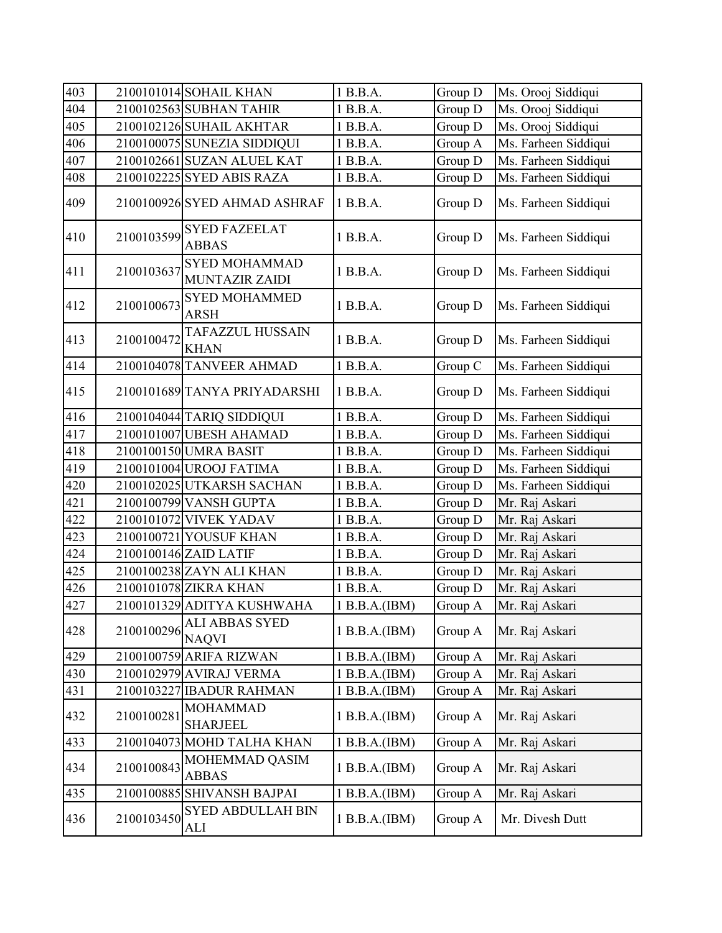| 403 |            | 2100101014 SOHAIL KHAN                        | 1 B.B.A.      | Group D | Ms. Orooj Siddiqui   |
|-----|------------|-----------------------------------------------|---------------|---------|----------------------|
| 404 |            | 2100102563 SUBHAN TAHIR                       | 1 B.B.A.      | Group D | Ms. Orooj Siddiqui   |
| 405 |            | 2100102126 SUHAIL AKHTAR                      | 1 B.B.A.      | Group D | Ms. Orooj Siddiqui   |
| 406 |            | 2100100075 SUNEZIA SIDDIQUI                   | 1 B.B.A.      | Group A | Ms. Farheen Siddiqui |
| 407 |            | 2100102661 SUZAN ALUEL KAT                    | 1 B.B.A.      | Group D | Ms. Farheen Siddiqui |
| 408 |            | 2100102225 SYED ABIS RAZA                     | 1 B.B.A.      | Group D | Ms. Farheen Siddiqui |
| 409 |            | 2100100926 SYED AHMAD ASHRAF                  | 1 B.B.A.      | Group D | Ms. Farheen Siddiqui |
| 410 | 2100103599 | <b>SYED FAZEELAT</b><br><b>ABBAS</b>          | 1 B.B.A.      | Group D | Ms. Farheen Siddiqui |
| 411 | 2100103637 | <b>SYED MOHAMMAD</b><br><b>MUNTAZIR ZAIDI</b> | 1 B.B.A.      | Group D | Ms. Farheen Siddiqui |
| 412 | 2100100673 | <b>SYED MOHAMMED</b><br><b>ARSH</b>           | 1 B.B.A.      | Group D | Ms. Farheen Siddiqui |
| 413 | 2100100472 | TAFAZZUL HUSSAIN<br><b>KHAN</b>               | 1 B.B.A.      | Group D | Ms. Farheen Siddiqui |
| 414 |            | 2100104078 TANVEER AHMAD                      | 1 B.B.A.      | Group C | Ms. Farheen Siddiqui |
| 415 |            | 2100101689 TANYA PRIYADARSHI                  | 1 B.B.A.      | Group D | Ms. Farheen Siddiqui |
| 416 |            | 2100104044 TARIQ SIDDIQUI                     | 1 B.B.A.      | Group D | Ms. Farheen Siddiqui |
| 417 |            | 2100101007 UBESH AHAMAD                       | 1 B.B.A.      | Group D | Ms. Farheen Siddiqui |
| 418 |            | 2100100150 UMRA BASIT                         | 1 B.B.A.      | Group D | Ms. Farheen Siddiqui |
| 419 |            | 2100101004 UROOJ FATIMA                       | 1 B.B.A.      | Group D | Ms. Farheen Siddiqui |
| 420 |            | 2100102025 UTKARSH SACHAN                     | 1 B.B.A.      | Group D | Ms. Farheen Siddiqui |
| 421 |            | 2100100799 VANSH GUPTA                        | 1 B.B.A.      | Group D | Mr. Raj Askari       |
| 422 |            | 2100101072 VIVEK YADAV                        | 1 B.B.A.      | Group D | Mr. Raj Askari       |
| 423 |            | 2100100721 YOUSUF KHAN                        | 1 B.B.A.      | Group D | Mr. Raj Askari       |
| 424 |            | 2100100146 ZAID LATIF                         | 1 B.B.A.      | Group D | Mr. Raj Askari       |
| 425 |            | 2100100238 ZAYN ALI KHAN                      | 1 B.B.A.      | Group D | Mr. Raj Askari       |
| 426 |            | 2100101078 ZIKRA KHAN                         | 1 B.B.A.      | Group D | Mr. Raj Askari       |
| 427 |            | 2100101329 ADITYA KUSHWAHA                    | 1 B.B.A.(IBM) | Group A | Mr. Raj Askari       |
| 428 | 2100100296 | <b>ALI ABBAS SYED</b><br><b>NAQVI</b>         | 1 B.B.A.(IBM) | Group A | Mr. Raj Askari       |
| 429 |            | 2100100759 ARIFA RIZWAN                       | 1 B.B.A.(IBM) | Group A | Mr. Raj Askari       |
| 430 |            | 2100102979 AVIRAJ VERMA                       | 1 B.B.A.(IBM) | Group A | Mr. Raj Askari       |
| 431 |            | 2100103227 IBADUR RAHMAN                      | 1 B.B.A.(IBM) | Group A | Mr. Raj Askari       |
| 432 | 2100100281 | <b>MOHAMMAD</b><br><b>SHARJEEL</b>            | 1 B.B.A.(IBM) | Group A | Mr. Raj Askari       |
| 433 |            | 2100104073 MOHD TALHA KHAN                    | 1 B.B.A.(IBM) | Group A | Mr. Raj Askari       |
| 434 | 2100100843 | MOHEMMAD QASIM<br><b>ABBAS</b>                | 1 B.B.A.(IBM) | Group A | Mr. Raj Askari       |
| 435 |            | 2100100885 SHIVANSH BAJPAI                    | 1 B.B.A.(IBM) | Group A | Mr. Raj Askari       |
| 436 | 2100103450 | <b>SYED ABDULLAH BIN</b><br>ALI               | 1 B.B.A.(IBM) | Group A | Mr. Divesh Dutt      |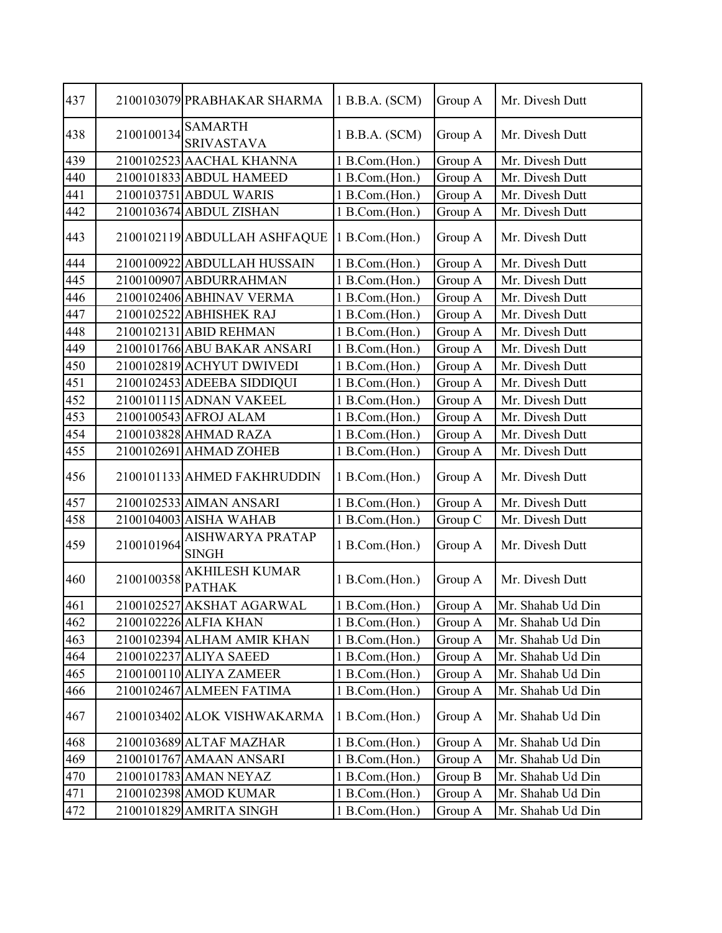| 437 |            | 2100103079 PRABHAKAR SHARMA            | 1 B.B.A. (SCM) | Group A | Mr. Divesh Dutt   |
|-----|------------|----------------------------------------|----------------|---------|-------------------|
| 438 | 2100100134 | <b>SAMARTH</b><br><b>SRIVASTAVA</b>    | 1 B.B.A. (SCM) | Group A | Mr. Divesh Dutt   |
| 439 |            | 2100102523 AACHAL KHANNA               | 1 B.Com.(Hon.) | Group A | Mr. Divesh Dutt   |
| 440 |            | 2100101833 ABDUL HAMEED                | 1 B.Com.(Hon.) | Group A | Mr. Divesh Dutt   |
| 441 |            | 2100103751 ABDUL WARIS                 | 1 B.Com.(Hon.) | Group A | Mr. Divesh Dutt   |
| 442 |            | 2100103674 ABDUL ZISHAN                | 1 B.Com.(Hon.) | Group A | Mr. Divesh Dutt   |
| 443 |            | 2100102119 ABDULLAH ASHFAQUE           | 1 B.Com.(Hon.) | Group A | Mr. Divesh Dutt   |
| 444 |            | 2100100922 ABDULLAH HUSSAIN            | 1 B.Com.(Hon.) | Group A | Mr. Divesh Dutt   |
| 445 |            | 2100100907 ABDURRAHMAN                 | 1 B.Com.(Hon.) | Group A | Mr. Divesh Dutt   |
| 446 |            | 2100102406 ABHINAV VERMA               | 1 B.Com.(Hon.) | Group A | Mr. Divesh Dutt   |
| 447 |            | 2100102522 ABHISHEK RAJ                | 1 B.Com.(Hon.) | Group A | Mr. Divesh Dutt   |
| 448 |            | 2100102131 ABID REHMAN                 | 1 B.Com.(Hon.) | Group A | Mr. Divesh Dutt   |
| 449 |            | 2100101766 ABU BAKAR ANSARI            | 1 B.Com.(Hon.) | Group A | Mr. Divesh Dutt   |
| 450 |            | 2100102819 ACHYUT DWIVEDI              | 1 B.Com.(Hon.) | Group A | Mr. Divesh Dutt   |
| 451 |            | 2100102453 ADEEBA SIDDIQUI             | 1 B.Com.(Hon.) | Group A | Mr. Divesh Dutt   |
| 452 |            | 2100101115 ADNAN VAKEEL                | 1 B.Com.(Hon.) | Group A | Mr. Divesh Dutt   |
| 453 |            | 2100100543 AFROJ ALAM                  | 1 B.Com.(Hon.) | Group A | Mr. Divesh Dutt   |
| 454 |            | 2100103828 AHMAD RAZA                  | 1 B.Com.(Hon.) | Group A | Mr. Divesh Dutt   |
| 455 |            | 2100102691 AHMAD ZOHEB                 | 1 B.Com.(Hon.) | Group A | Mr. Divesh Dutt   |
| 456 |            | 2100101133 AHMED FAKHRUDDIN            | 1 B.Com.(Hon.) | Group A | Mr. Divesh Dutt   |
| 457 |            | 2100102533 AIMAN ANSARI                | 1 B.Com.(Hon.) | Group A | Mr. Divesh Dutt   |
| 458 |            | 2100104003 AISHA WAHAB                 | 1 B.Com.(Hon.) | Group C | Mr. Divesh Dutt   |
| 459 | 2100101964 | AISHWARYA PRATAP<br><b>SINGH</b>       | 1 B.Com.(Hon.) | Group A | Mr. Divesh Dutt   |
| 460 | 2100100358 | <b>AKHILESH KUMAR</b><br><b>PATHAK</b> | 1 B.Com.(Hon.) | Group A | Mr. Divesh Dutt   |
| 461 |            | 2100102527 AKSHAT AGARWAL              | 1 B.Com.(Hon.) | Group A | Mr. Shahab Ud Din |
| 462 |            | 2100102226 ALFIA KHAN                  | 1 B.Com.(Hon.) | Group A | Mr. Shahab Ud Din |
| 463 |            | 2100102394 ALHAM AMIR KHAN             | 1 B.Com.(Hon.) | Group A | Mr. Shahab Ud Din |
| 464 |            | 2100102237 ALIYA SAEED                 | 1 B.Com.(Hon.) | Group A | Mr. Shahab Ud Din |
| 465 |            | 2100100110 ALIYA ZAMEER                | 1 B.Com.(Hon.) | Group A | Mr. Shahab Ud Din |
| 466 |            | 2100102467 ALMEEN FATIMA               | 1 B.Com.(Hon.) | Group A | Mr. Shahab Ud Din |
| 467 |            | 2100103402 ALOK VISHWAKARMA            | 1 B.Com.(Hon.) | Group A | Mr. Shahab Ud Din |
| 468 |            | 2100103689 ALTAF MAZHAR                | 1 B.Com.(Hon.) | Group A | Mr. Shahab Ud Din |
| 469 |            | 2100101767 AMAAN ANSARI                | 1 B.Com.(Hon.) | Group A | Mr. Shahab Ud Din |
| 470 |            | 2100101783 AMAN NEYAZ                  | 1 B.Com.(Hon.) | Group B | Mr. Shahab Ud Din |
| 471 |            | 2100102398 AMOD KUMAR                  | 1 B.Com.(Hon.) | Group A | Mr. Shahab Ud Din |
| 472 |            | 2100101829 AMRITA SINGH                | 1 B.Com.(Hon.) | Group A | Mr. Shahab Ud Din |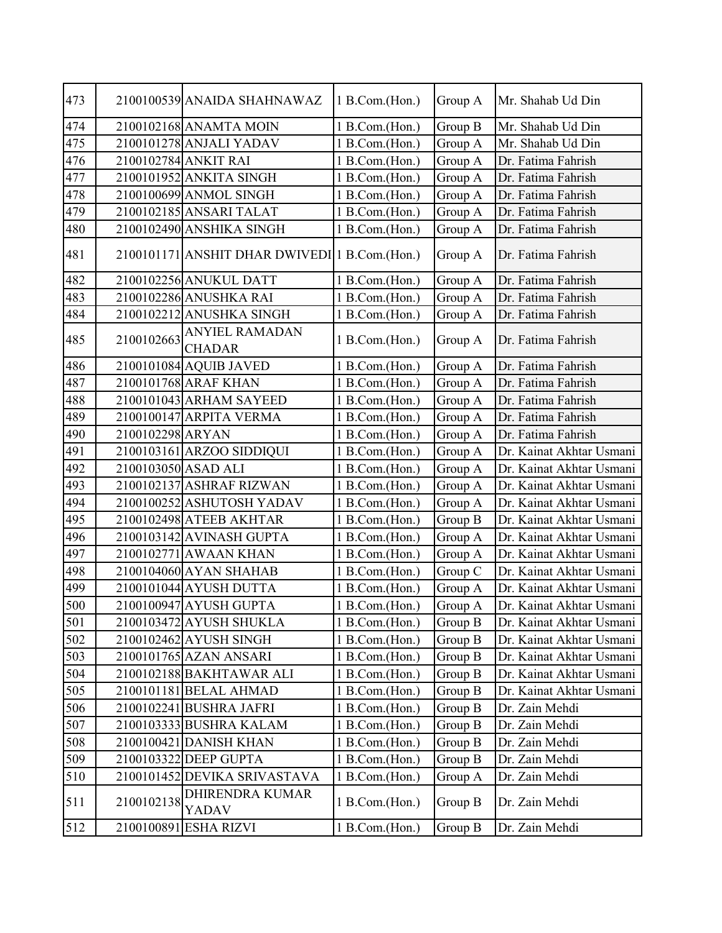| 473 |                     | 2100100539 ANAIDA SHAHNAWAZ                    | 1 B.Com.(Hon.) | Group A | Mr. Shahab Ud Din        |
|-----|---------------------|------------------------------------------------|----------------|---------|--------------------------|
| 474 |                     | 2100102168 ANAMTA MOIN                         | 1 B.Com.(Hon.) | Group B | Mr. Shahab Ud Din        |
| 475 |                     | 2100101278 ANJALI YADAV                        | 1 B.Com.(Hon.) | Group A | Mr. Shahab Ud Din        |
| 476 |                     | 2100102784 ANKIT RAI                           | 1 B.Com.(Hon.) | Group A | Dr. Fatima Fahrish       |
| 477 |                     | 2100101952 ANKITA SINGH                        | 1 B.Com.(Hon.) | Group A | Dr. Fatima Fahrish       |
| 478 |                     | 2100100699 ANMOL SINGH                         | 1 B.Com.(Hon.) | Group A | Dr. Fatima Fahrish       |
| 479 |                     | 2100102185 ANSARI TALAT                        | 1 B.Com.(Hon.) | Group A | Dr. Fatima Fahrish       |
| 480 |                     | 2100102490 ANSHIKA SINGH                       | 1 B.Com.(Hon.) | Group A | Dr. Fatima Fahrish       |
| 481 |                     | 2100101171 ANSHIT DHAR DWIVEDI 1 B.Com. (Hon.) |                | Group A | Dr. Fatima Fahrish       |
| 482 |                     | 2100102256 ANUKUL DATT                         | 1 B.Com.(Hon.) | Group A | Dr. Fatima Fahrish       |
| 483 |                     | 2100102286 ANUSHKA RAI                         | 1 B.Com.(Hon.) | Group A | Dr. Fatima Fahrish       |
| 484 |                     | 2100102212 ANUSHKA SINGH                       | 1 B.Com.(Hon.) | Group A | Dr. Fatima Fahrish       |
| 485 | 2100102663          | <b>ANYIEL RAMADAN</b><br><b>CHADAR</b>         | 1 B.Com.(Hon.) | Group A | Dr. Fatima Fahrish       |
| 486 |                     | 2100101084 AQUIB JAVED                         | 1 B.Com.(Hon.) | Group A | Dr. Fatima Fahrish       |
| 487 |                     | 2100101768 ARAF KHAN                           | 1 B.Com.(Hon.) | Group A | Dr. Fatima Fahrish       |
| 488 |                     | 2100101043 ARHAM SAYEED                        | 1 B.Com.(Hon.) | Group A | Dr. Fatima Fahrish       |
| 489 |                     | 2100100147 ARPITA VERMA                        | 1 B.Com.(Hon.) | Group A | Dr. Fatima Fahrish       |
| 490 | 2100102298 ARYAN    |                                                | 1 B.Com.(Hon.) | Group A | Dr. Fatima Fahrish       |
| 491 |                     | 2100103161 ARZOO SIDDIQUI                      | 1 B.Com.(Hon.) | Group A | Dr. Kainat Akhtar Usmani |
| 492 | 2100103050 ASAD ALI |                                                | 1 B.Com.(Hon.) | Group A | Dr. Kainat Akhtar Usmani |
| 493 |                     | 2100102137 ASHRAF RIZWAN                       | 1 B.Com.(Hon.) | Group A | Dr. Kainat Akhtar Usmani |
| 494 |                     | 2100100252 ASHUTOSH YADAV                      | 1 B.Com.(Hon.) | Group A | Dr. Kainat Akhtar Usmani |
| 495 |                     | 2100102498 ATEEB AKHTAR                        | 1 B.Com.(Hon.) | Group B | Dr. Kainat Akhtar Usmani |
| 496 |                     | 2100103142 AVINASH GUPTA                       | 1 B.Com.(Hon.) | Group A | Dr. Kainat Akhtar Usmani |
| 497 |                     | 2100102771 AWAAN KHAN                          | 1 B.Com.(Hon.) | Group A | Dr. Kainat Akhtar Usmani |
| 498 |                     | 2100104060 AYAN SHAHAB                         | 1 B.Com.(Hon.) | Group C | Dr. Kainat Akhtar Usmani |
| 499 |                     | 2100101044 AYUSH DUTTA                         | 1 B.Com.(Hon.) | Group A | Dr. Kainat Akhtar Usmani |
| 500 |                     | 2100100947 AYUSH GUPTA                         | 1 B.Com.(Hon.) | Group A | Dr. Kainat Akhtar Usmani |
| 501 |                     | 2100103472 AYUSH SHUKLA                        | 1 B.Com.(Hon.) | Group B | Dr. Kainat Akhtar Usmani |
| 502 |                     | 2100102462 AYUSH SINGH                         | 1 B.Com.(Hon.) | Group B | Dr. Kainat Akhtar Usmani |
| 503 |                     | 2100101765 AZAN ANSARI                         | 1 B.Com.(Hon.) | Group B | Dr. Kainat Akhtar Usmani |
| 504 |                     | 2100102188 BAKHTAWAR ALI                       | 1 B.Com.(Hon.) | Group B | Dr. Kainat Akhtar Usmani |
| 505 |                     | 2100101181 BELAL AHMAD                         | 1 B.Com.(Hon.) | Group B | Dr. Kainat Akhtar Usmani |
| 506 |                     | 2100102241 BUSHRA JAFRI                        | 1 B.Com.(Hon.) | Group B | Dr. Zain Mehdi           |
| 507 |                     | 2100103333 BUSHRA KALAM                        | 1 B.Com.(Hon.) | Group B | Dr. Zain Mehdi           |
| 508 |                     | 2100100421 DANISH KHAN                         | 1 B.Com.(Hon.) | Group B | Dr. Zain Mehdi           |
| 509 |                     | 2100103322 DEEP GUPTA                          | 1 B.Com.(Hon.) | Group B | Dr. Zain Mehdi           |
| 510 |                     | 2100101452 DEVIKA SRIVASTAVA                   | 1 B.Com.(Hon.) | Group A | Dr. Zain Mehdi           |
| 511 | 2100102138          | <b>DHIRENDRA KUMAR</b><br>YADAV                | 1 B.Com.(Hon.) | Group B | Dr. Zain Mehdi           |
| 512 |                     | 2100100891 ESHA RIZVI                          | 1 B.Com.(Hon.) | Group B | Dr. Zain Mehdi           |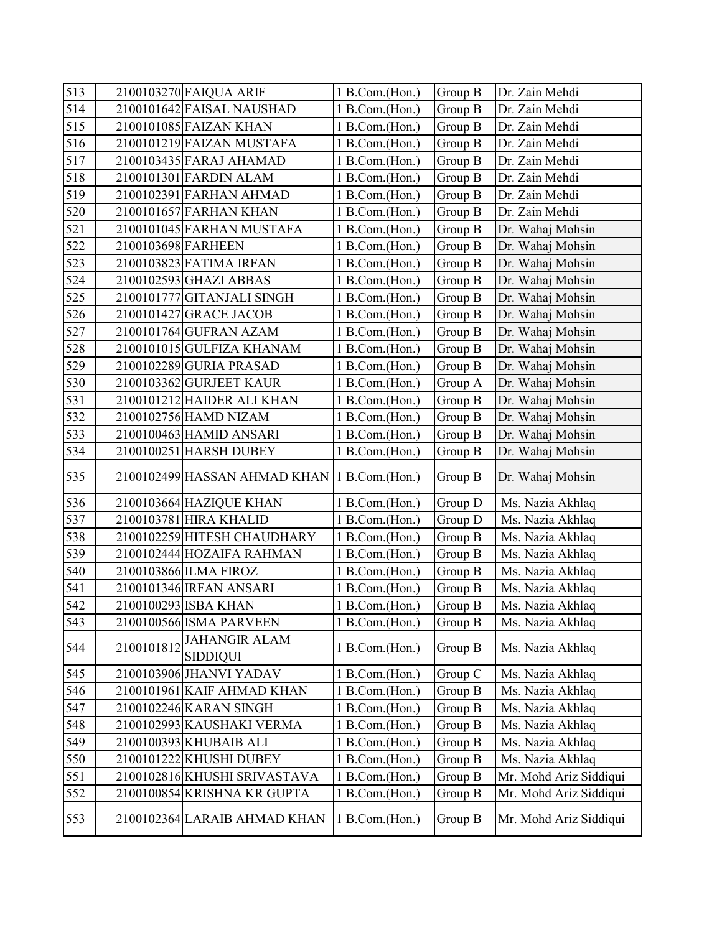| 513 |                    | 2100103270 FAIQUA ARIF                       | 1 B.Com.(Hon.) | Group B | Dr. Zain Mehdi         |
|-----|--------------------|----------------------------------------------|----------------|---------|------------------------|
| 514 |                    | 2100101642 FAISAL NAUSHAD                    | 1 B.Com.(Hon.) | Group B | Dr. Zain Mehdi         |
| 515 |                    | 2100101085 FAIZAN KHAN                       | 1 B.Com.(Hon.) | Group B | Dr. Zain Mehdi         |
| 516 |                    | 2100101219 FAIZAN MUSTAFA                    | 1 B.Com.(Hon.) | Group B | Dr. Zain Mehdi         |
| 517 |                    | 2100103435 FARAJ AHAMAD                      | 1 B.Com.(Hon.) | Group B | Dr. Zain Mehdi         |
| 518 |                    | 2100101301 FARDIN ALAM                       | 1 B.Com.(Hon.) | Group B | Dr. Zain Mehdi         |
| 519 |                    | 2100102391 FARHAN AHMAD                      | 1 B.Com.(Hon.) | Group B | Dr. Zain Mehdi         |
| 520 |                    | 2100101657 FARHAN KHAN                       | 1 B.Com.(Hon.) | Group B | Dr. Zain Mehdi         |
| 521 |                    | 2100101045 FARHAN MUSTAFA                    | 1 B.Com.(Hon.) | Group B | Dr. Wahaj Mohsin       |
| 522 | 2100103698 FARHEEN |                                              | 1 B.Com.(Hon.) | Group B | Dr. Wahaj Mohsin       |
| 523 |                    | 2100103823 FATIMA IRFAN                      | 1 B.Com.(Hon.) | Group B | Dr. Wahaj Mohsin       |
| 524 |                    | 2100102593 GHAZI ABBAS                       | 1 B.Com.(Hon.) | Group B | Dr. Wahaj Mohsin       |
| 525 |                    | 2100101777 GITANJALI SINGH                   | 1 B.Com.(Hon.) | Group B | Dr. Wahaj Mohsin       |
| 526 |                    | 2100101427 GRACE JACOB                       | 1 B.Com.(Hon.) | Group B | Dr. Wahaj Mohsin       |
| 527 |                    | 2100101764 GUFRAN AZAM                       | 1 B.Com.(Hon.) | Group B | Dr. Wahaj Mohsin       |
| 528 |                    | 2100101015 GULFIZA KHANAM                    | 1 B.Com.(Hon.) | Group B | Dr. Wahaj Mohsin       |
| 529 |                    | 2100102289 GURIA PRASAD                      | 1 B.Com.(Hon.) | Group B | Dr. Wahaj Mohsin       |
| 530 |                    | 2100103362 GURJEET KAUR                      | 1 B.Com.(Hon.) | Group A | Dr. Wahaj Mohsin       |
| 531 |                    | 2100101212 HAIDER ALI KHAN                   | 1 B.Com.(Hon.) | Group B | Dr. Wahaj Mohsin       |
| 532 |                    | 2100102756 HAMD NIZAM                        | 1 B.Com.(Hon.) | Group B | Dr. Wahaj Mohsin       |
| 533 |                    | 2100100463 HAMID ANSARI                      | 1 B.Com.(Hon.) | Group B | Dr. Wahaj Mohsin       |
| 534 |                    | 2100100251 HARSH DUBEY                       | 1 B.Com.(Hon.) | Group B | Dr. Wahaj Mohsin       |
| 535 |                    | 2100102499 HASSAN AHMAD KHAN 1 B.Com. (Hon.) |                | Group B | Dr. Wahaj Mohsin       |
| 536 |                    | 2100103664 HAZIQUE KHAN                      | 1 B.Com.(Hon.) | Group D | Ms. Nazia Akhlaq       |
| 537 |                    | 2100103781 HIRA KHALID                       | 1 B.Com.(Hon.) | Group D | Ms. Nazia Akhlaq       |
| 538 |                    | 2100102259 HITESH CHAUDHARY                  | 1 B.Com.(Hon.) | Group B | Ms. Nazia Akhlaq       |
| 539 |                    | 2100102444 HOZAIFA RAHMAN                    | 1 B.Com.(Hon.) | Group B | Ms. Nazia Akhlaq       |
| 540 |                    | 2100103866 ILMA FIROZ                        | 1 B.Com.(Hon.) | Group B | Ms. Nazia Akhlaq       |
| 541 |                    | 2100101346 IRFAN ANSARI                      | 1 B.Com.(Hon.) | Group B | Ms. Nazia Akhlaq       |
| 542 |                    | 2100100293 ISBA KHAN                         | 1 B.Com.(Hon.) | Group B | Ms. Nazia Akhlaq       |
| 543 |                    | 2100100566 ISMA PARVEEN                      | 1 B.Com.(Hon.) | Group B | Ms. Nazia Akhlaq       |
| 544 | 2100101812         | <b>JAHANGIR ALAM</b><br><b>SIDDIQUI</b>      | 1 B.Com.(Hon.) | Group B | Ms. Nazia Akhlaq       |
| 545 |                    | 2100103906 JHANVI YADAV                      | 1 B.Com.(Hon.) | Group C | Ms. Nazia Akhlaq       |
| 546 |                    | 2100101961 KAIF AHMAD KHAN                   | 1 B.Com.(Hon.) | Group B | Ms. Nazia Akhlaq       |
| 547 |                    | 2100102246 KARAN SINGH                       | 1 B.Com.(Hon.) | Group B | Ms. Nazia Akhlaq       |
| 548 |                    | 2100102993 KAUSHAKI VERMA                    | 1 B.Com.(Hon.) | Group B | Ms. Nazia Akhlaq       |
| 549 |                    | 2100100393 KHUBAIB ALI                       | 1 B.Com.(Hon.) | Group B | Ms. Nazia Akhlaq       |
| 550 |                    | 2100101222 KHUSHI DUBEY                      | 1 B.Com.(Hon.) | Group B | Ms. Nazia Akhlaq       |
| 551 |                    | 2100102816 KHUSHI SRIVASTAVA                 | 1 B.Com.(Hon.) | Group B | Mr. Mohd Ariz Siddiqui |
| 552 |                    | 2100100854 KRISHNA KR GUPTA                  | 1 B.Com.(Hon.) | Group B | Mr. Mohd Ariz Siddiqui |
| 553 |                    | 2100102364 LARAIB AHMAD KHAN                 | 1 B.Com.(Hon.) | Group B | Mr. Mohd Ariz Siddiqui |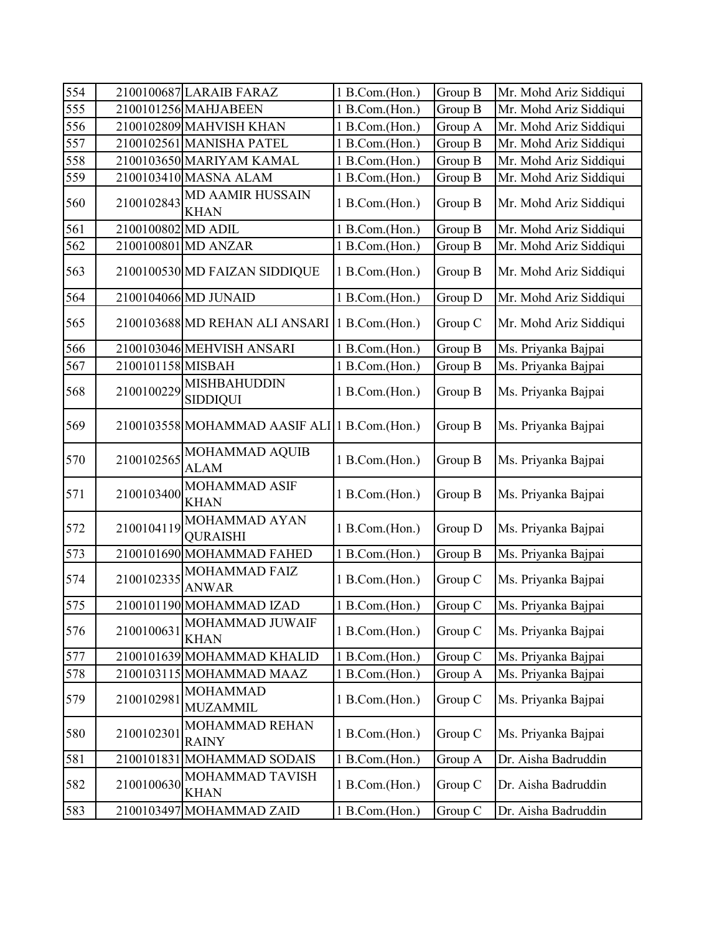| 554 |                    | 2100100687 LARAIB FARAZ                        | 1 B.Com.(Hon.) | Group B | Mr. Mohd Ariz Siddiqui |
|-----|--------------------|------------------------------------------------|----------------|---------|------------------------|
| 555 |                    | 2100101256 MAHJABEEN                           | 1 B.Com.(Hon.) | Group B | Mr. Mohd Ariz Siddiqui |
| 556 |                    | 2100102809 MAHVISH KHAN                        | 1 B.Com.(Hon.) | Group A | Mr. Mohd Ariz Siddiqui |
| 557 |                    | 2100102561 MANISHA PATEL                       | 1 B.Com.(Hon.) | Group B | Mr. Mohd Ariz Siddiqui |
| 558 |                    | 2100103650 MARIYAM KAMAL                       | 1 B.Com.(Hon.) | Group B | Mr. Mohd Ariz Siddiqui |
| 559 |                    | 2100103410 MASNA ALAM                          | 1 B.Com.(Hon.) | Group B | Mr. Mohd Ariz Siddiqui |
| 560 | 2100102843         | <b>MD AAMIR HUSSAIN</b><br><b>KHAN</b>         | 1 B.Com.(Hon.) | Group B | Mr. Mohd Ariz Siddiqui |
| 561 | 2100100802 MD ADIL |                                                | 1 B.Com.(Hon.) | Group B | Mr. Mohd Ariz Siddiqui |
| 562 |                    | 2100100801 MD ANZAR                            | 1 B.Com.(Hon.) | Group B | Mr. Mohd Ariz Siddiqui |
| 563 |                    | 2100100530 MD FAIZAN SIDDIQUE                  | 1 B.Com.(Hon.) | Group B | Mr. Mohd Ariz Siddiqui |
| 564 |                    | 2100104066 MD JUNAID                           | 1 B.Com.(Hon.) | Group D | Mr. Mohd Ariz Siddiqui |
| 565 |                    | 2100103688 MD REHAN ALI ANSARI 1 B.Com. (Hon.) |                | Group C | Mr. Mohd Ariz Siddiqui |
| 566 |                    | 2100103046 MEHVISH ANSARI                      | 1 B.Com.(Hon.) | Group B | Ms. Priyanka Bajpai    |
| 567 | 2100101158 MISBAH  |                                                | 1 B.Com.(Hon.) | Group B | Ms. Priyanka Bajpai    |
| 568 | 2100100229         | <b>MISHBAHUDDIN</b><br><b>SIDDIQUI</b>         | 1 B.Com.(Hon.) | Group B | Ms. Priyanka Bajpai    |
| 569 |                    | 2100103558 MOHAMMAD AASIF ALI 1 B.Com. (Hon.)  |                | Group B | Ms. Priyanka Bajpai    |
| 570 | 2100102565         | MOHAMMAD AQUIB<br><b>ALAM</b>                  | 1 B.Com.(Hon.) | Group B | Ms. Priyanka Bajpai    |
| 571 | 2100103400         | MOHAMMAD ASIF<br><b>KHAN</b>                   | 1 B.Com.(Hon.) | Group B | Ms. Priyanka Bajpai    |
| 572 | 2100104119         | MOHAMMAD AYAN<br><b>QURAISHI</b>               | 1 B.Com.(Hon.) | Group D | Ms. Priyanka Bajpai    |
| 573 |                    | 2100101690 MOHAMMAD FAHED                      | 1 B.Com.(Hon.) | Group B | Ms. Priyanka Bajpai    |
| 574 | 2100102335         | MOHAMMAD FAIZ<br><b>ANWAR</b>                  | 1 B.Com.(Hon.) | Group C | Ms. Priyanka Bajpai    |
| 575 |                    | 2100101190 MOHAMMAD IZAD                       | 1 B.Com.(Hon.) | Group C | Ms. Priyanka Bajpai    |
| 576 | 2100100631         | MOHAMMAD JUWAIF<br><b>KHAN</b>                 | 1 B.Com.(Hon.) | Group C | Ms. Priyanka Bajpai    |
| 577 |                    | 2100101639 MOHAMMAD KHALID                     | 1 B.Com.(Hon.) | Group C | Ms. Priyanka Bajpai    |
| 578 |                    | 2100103115 MOHAMMAD MAAZ                       | 1 B.Com.(Hon.) | Group A | Ms. Priyanka Bajpai    |
| 579 | 2100102981         | <b>MOHAMMAD</b><br><b>MUZAMMIL</b>             | 1 B.Com.(Hon.) | Group C | Ms. Priyanka Bajpai    |
| 580 | 2100102301         | MOHAMMAD REHAN<br><b>RAINY</b>                 | 1 B.Com.(Hon.) | Group C | Ms. Priyanka Bajpai    |
| 581 |                    | 2100101831 MOHAMMAD SODAIS                     | 1 B.Com.(Hon.) | Group A | Dr. Aisha Badruddin    |
| 582 | 2100100630         | MOHAMMAD TAVISH<br><b>KHAN</b>                 | 1 B.Com.(Hon.) | Group C | Dr. Aisha Badruddin    |
| 583 |                    | 2100103497 MOHAMMAD ZAID                       | 1 B.Com.(Hon.) | Group C | Dr. Aisha Badruddin    |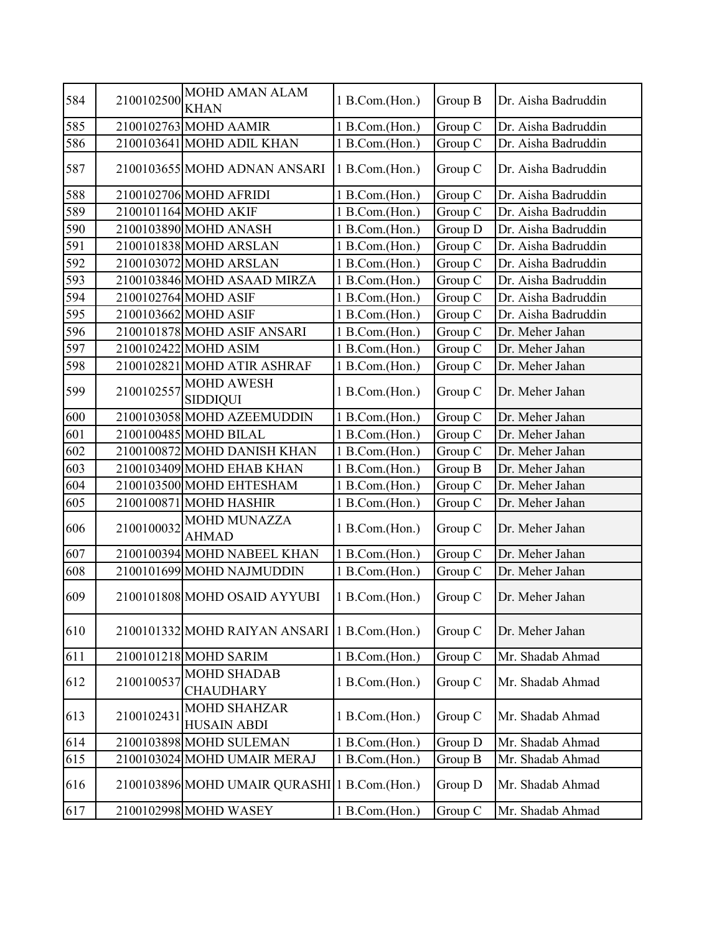| 584 | 2100102500 | MOHD AMAN ALAM                                  | 1 B.Com.(Hon.) | Group B | Dr. Aisha Badruddin |
|-----|------------|-------------------------------------------------|----------------|---------|---------------------|
|     |            | <b>KHAN</b>                                     |                |         |                     |
| 585 |            | 2100102763 MOHD AAMIR                           | 1 B.Com.(Hon.) | Group C | Dr. Aisha Badruddin |
| 586 |            | 2100103641 MOHD ADIL KHAN                       | 1 B.Com.(Hon.) | Group C | Dr. Aisha Badruddin |
| 587 |            | 2100103655 MOHD ADNAN ANSARI                    | 1 B.Com.(Hon.) | Group C | Dr. Aisha Badruddin |
| 588 |            | 2100102706 MOHD AFRIDI                          | 1 B.Com.(Hon.) | Group C | Dr. Aisha Badruddin |
| 589 |            | 2100101164 MOHD AKIF                            | 1 B.Com.(Hon.) | Group C | Dr. Aisha Badruddin |
| 590 |            | 2100103890 MOHD ANASH                           | 1 B.Com.(Hon.) | Group D | Dr. Aisha Badruddin |
| 591 |            | 2100101838 MOHD ARSLAN                          | 1 B.Com.(Hon.) | Group C | Dr. Aisha Badruddin |
| 592 |            | 2100103072 MOHD ARSLAN                          | 1 B.Com.(Hon.) | Group C | Dr. Aisha Badruddin |
| 593 |            | 2100103846 MOHD ASAAD MIRZA                     | 1 B.Com.(Hon.) | Group C | Dr. Aisha Badruddin |
| 594 |            | 2100102764 MOHD ASIF                            | 1 B.Com.(Hon.) | Group C | Dr. Aisha Badruddin |
| 595 |            | 2100103662 MOHD ASIF                            | 1 B.Com.(Hon.) | Group C | Dr. Aisha Badruddin |
| 596 |            | 2100101878 MOHD ASIF ANSARI                     | 1 B.Com.(Hon.) | Group C | Dr. Meher Jahan     |
| 597 |            | 2100102422 MOHD ASIM                            | 1 B.Com.(Hon.) | Group C | Dr. Meher Jahan     |
| 598 |            | 2100102821 MOHD ATIR ASHRAF                     | 1 B.Com.(Hon.) | Group C | Dr. Meher Jahan     |
| 599 | 2100102557 | <b>MOHD AWESH</b><br><b>SIDDIQUI</b>            | 1 B.Com.(Hon.) | Group C | Dr. Meher Jahan     |
| 600 |            | 2100103058 MOHD AZEEMUDDIN                      | 1 B.Com.(Hon.) | Group C | Dr. Meher Jahan     |
| 601 |            | 2100100485 MOHD BILAL                           | 1 B.Com.(Hon.) | Group C | Dr. Meher Jahan     |
| 602 |            | 2100100872 MOHD DANISH KHAN                     | 1 B.Com.(Hon.) | Group C | Dr. Meher Jahan     |
| 603 |            | 2100103409 MOHD EHAB KHAN                       | 1 B.Com.(Hon.) | Group B | Dr. Meher Jahan     |
| 604 |            | 2100103500 MOHD EHTESHAM                        | 1 B.Com.(Hon.) | Group C | Dr. Meher Jahan     |
| 605 |            | 2100100871 MOHD HASHIR                          | 1 B.Com.(Hon.) | Group C | Dr. Meher Jahan     |
| 606 | 2100100032 | <b>MOHD MUNAZZA</b><br><b>AHMAD</b>             | 1 B.Com.(Hon.) | Group C | Dr. Meher Jahan     |
| 607 |            | 2100100394 MOHD NABEEL KHAN                     | 1 B.Com.(Hon.) | Group C | Dr. Meher Jahan     |
| 608 |            | 2100101699 MOHD NAJMUDDIN                       | 1 B.Com.(Hon.) | Group C | Dr. Meher Jahan     |
| 609 |            | 2100101808 MOHD OSAID AYYUBI                    | 1 B.Com.(Hon.) | Group C | Dr. Meher Jahan     |
| 610 |            | 2100101332 MOHD RAIYAN ANSARI   1 B.Com. (Hon.) |                | Group C | Dr. Meher Jahan     |
| 611 |            | 2100101218 MOHD SARIM                           | 1 B.Com.(Hon.) | Group C | Mr. Shadab Ahmad    |
| 612 | 2100100537 | <b>MOHD SHADAB</b><br><b>CHAUDHARY</b>          | 1 B.Com.(Hon.) | Group C | Mr. Shadab Ahmad    |
| 613 | 2100102431 | <b>MOHD SHAHZAR</b><br><b>HUSAIN ABDI</b>       | 1 B.Com.(Hon.) | Group C | Mr. Shadab Ahmad    |
| 614 |            | 2100103898 MOHD SULEMAN                         | 1 B.Com.(Hon.) | Group D | Mr. Shadab Ahmad    |
| 615 |            | 2100103024 MOHD UMAIR MERAJ                     | 1 B.Com.(Hon.) | Group B | Mr. Shadab Ahmad    |
| 616 |            | 2100103896 MOHD UMAIR QURASHI 1 B.Com. (Hon.)   |                | Group D | Mr. Shadab Ahmad    |
| 617 |            | 2100102998 MOHD WASEY                           | 1 B.Com.(Hon.) | Group C | Mr. Shadab Ahmad    |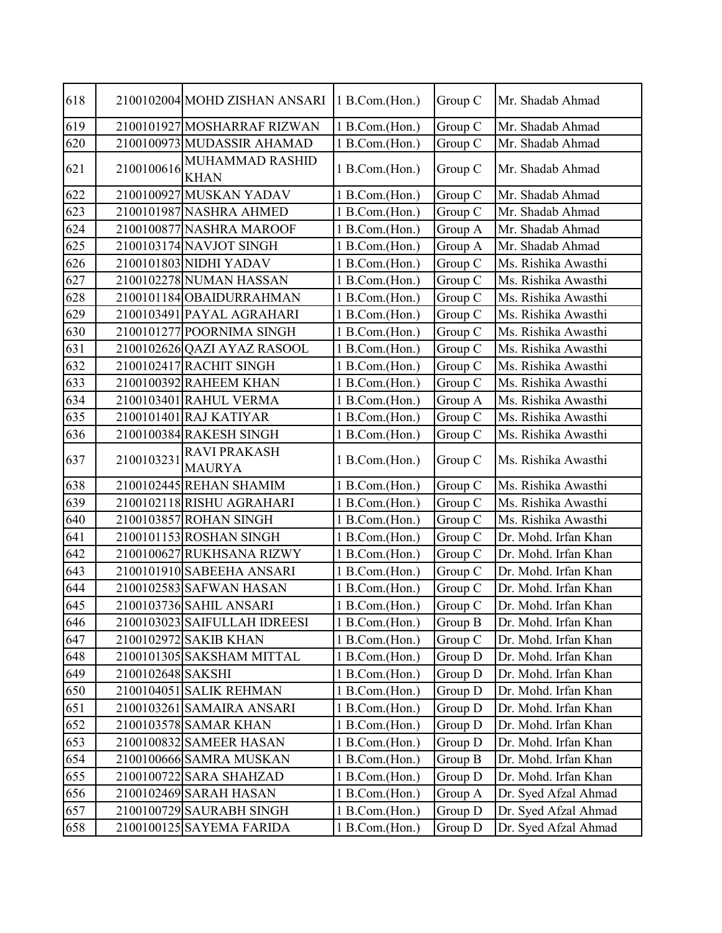| 618          |                   | 2100102004 MOHD ZISHAN ANSARI        | 1 B.Com.(Hon.) | Group C | Mr. Shadab Ahmad     |
|--------------|-------------------|--------------------------------------|----------------|---------|----------------------|
| 619          |                   | 2100101927 MOSHARRAF RIZWAN          | 1 B.Com.(Hon.) | Group C | Mr. Shadab Ahmad     |
| 620          |                   | 2100100973 MUDASSIR AHAMAD           | 1 B.Com.(Hon.) | Group C | Mr. Shadab Ahmad     |
| 621          | 2100100616        | MUHAMMAD RASHID<br><b>KHAN</b>       | 1 B.Com.(Hon.) | Group C | Mr. Shadab Ahmad     |
| 622          |                   | 2100100927 MUSKAN YADAV              | 1 B.Com.(Hon.) | Group C | Mr. Shadab Ahmad     |
| 623          |                   | 2100101987 NASHRA AHMED              | 1 B.Com.(Hon.) | Group C | Mr. Shadab Ahmad     |
| 624          |                   | 2100100877 NASHRA MAROOF             | 1 B.Com.(Hon.) | Group A | Mr. Shadab Ahmad     |
| 625          |                   | 2100103174 NAVJOT SINGH              | 1 B.Com.(Hon.) | Group A | Mr. Shadab Ahmad     |
| 626          |                   | 2100101803 NIDHI YADAV               | 1 B.Com.(Hon.) | Group C | Ms. Rishika Awasthi  |
| 627          |                   | 2100102278 NUMAN HASSAN              | 1 B.Com.(Hon.) | Group C | Ms. Rishika Awasthi  |
| 628          |                   | 2100101184 OBAIDURRAHMAN             | 1 B.Com.(Hon.) | Group C | Ms. Rishika Awasthi  |
| 629          |                   | 2100103491 PAYAL AGRAHARI            | 1 B.Com.(Hon.) | Group C | Ms. Rishika Awasthi  |
| 630          |                   | 2100101277 POORNIMA SINGH            | 1 B.Com.(Hon.) | Group C | Ms. Rishika Awasthi  |
| 631          |                   | 2100102626 QAZI AYAZ RASOOL          | 1 B.Com.(Hon.) | Group C | Ms. Rishika Awasthi  |
| 632          |                   | 2100102417 RACHIT SINGH              | 1 B.Com.(Hon.) | Group C | Ms. Rishika Awasthi  |
| 633          |                   | 2100100392 RAHEEM KHAN               | 1 B.Com.(Hon.) | Group C | Ms. Rishika Awasthi  |
| 634          |                   | 2100103401 RAHUL VERMA               | 1 B.Com.(Hon.) | Group A | Ms. Rishika Awasthi  |
| 635          |                   | 2100101401 RAJ KATIYAR               | 1 B.Com.(Hon.) | Group C | Ms. Rishika Awasthi  |
| 636          |                   | 2100100384 RAKESH SINGH              | 1 B.Com.(Hon.) | Group C | Ms. Rishika Awasthi  |
| 637          | 2100103231        | <b>RAVI PRAKASH</b><br><b>MAURYA</b> | 1 B.Com.(Hon.) | Group C | Ms. Rishika Awasthi  |
| 638          |                   | 2100102445 REHAN SHAMIM              | 1 B.Com.(Hon.) | Group C | Ms. Rishika Awasthi  |
| 639          |                   | 2100102118 RISHU AGRAHARI            | 1 B.Com.(Hon.) | Group C | Ms. Rishika Awasthi  |
| 640          |                   | 2100103857 ROHAN SINGH               | 1 B.Com.(Hon.) | Group C | Ms. Rishika Awasthi  |
| 641          |                   | 2100101153 ROSHAN SINGH              | 1 B.Com.(Hon.) | Group C | Dr. Mohd. Irfan Khan |
| 642          |                   | 2100100627 RUKHSANA RIZWY            | 1 B.Com.(Hon.) | Group C | Dr. Mohd. Irfan Khan |
| 643          |                   | 2100101910 SABEEHA ANSARI            | 1 B.Com.(Hon.) | Group C | Dr. Mohd. Irfan Khan |
| 644          |                   | 2100102583 SAFWAN HASAN              | 1 B.Com.(Hon.) | Group C | Dr. Mohd. Irfan Khan |
| 645          |                   | 2100103736 SAHIL ANSARI              | 1 B.Com.(Hon.) | Group C | Dr. Mohd. Irfan Khan |
| $\sqrt{646}$ |                   | 2100103023 SAIFULLAH IDREESI         | 1 B.Com.(Hon.) | Group B | Dr. Mohd. Irfan Khan |
| 647          |                   | 2100102972 SAKIB KHAN                | 1 B.Com.(Hon.) | Group C | Dr. Mohd. Irfan Khan |
| 648          |                   | 2100101305 SAKSHAM MITTAL            | 1 B.Com.(Hon.) | Group D | Dr. Mohd. Irfan Khan |
| 649          | 2100102648 SAKSHI |                                      | 1 B.Com.(Hon.) | Group D | Dr. Mohd. Irfan Khan |
| 650          |                   | 2100104051 SALIK REHMAN              | 1 B.Com.(Hon.) | Group D | Dr. Mohd. Irfan Khan |
| 651          |                   | 2100103261 SAMAIRA ANSARI            | 1 B.Com.(Hon.) | Group D | Dr. Mohd. Irfan Khan |
| 652          |                   | 2100103578 SAMAR KHAN                | 1 B.Com.(Hon.) | Group D | Dr. Mohd. Irfan Khan |
| 653          |                   | 2100100832 SAMEER HASAN              | 1 B.Com.(Hon.) | Group D | Dr. Mohd. Irfan Khan |
| 654          |                   | 2100100666 SAMRA MUSKAN              | 1 B.Com.(Hon.) | Group B | Dr. Mohd. Irfan Khan |
| 655          |                   | 2100100722 SARA SHAHZAD              | 1 B.Com.(Hon.) | Group D | Dr. Mohd. Irfan Khan |
| 656          |                   | 2100102469 SARAH HASAN               | 1 B.Com.(Hon.) | Group A | Dr. Syed Afzal Ahmad |
| 657          |                   | 2100100729 SAURABH SINGH             | 1 B.Com.(Hon.) | Group D | Dr. Syed Afzal Ahmad |
| 658          |                   | 2100100125 SAYEMA FARIDA             | 1 B.Com.(Hon.) | Group D | Dr. Syed Afzal Ahmad |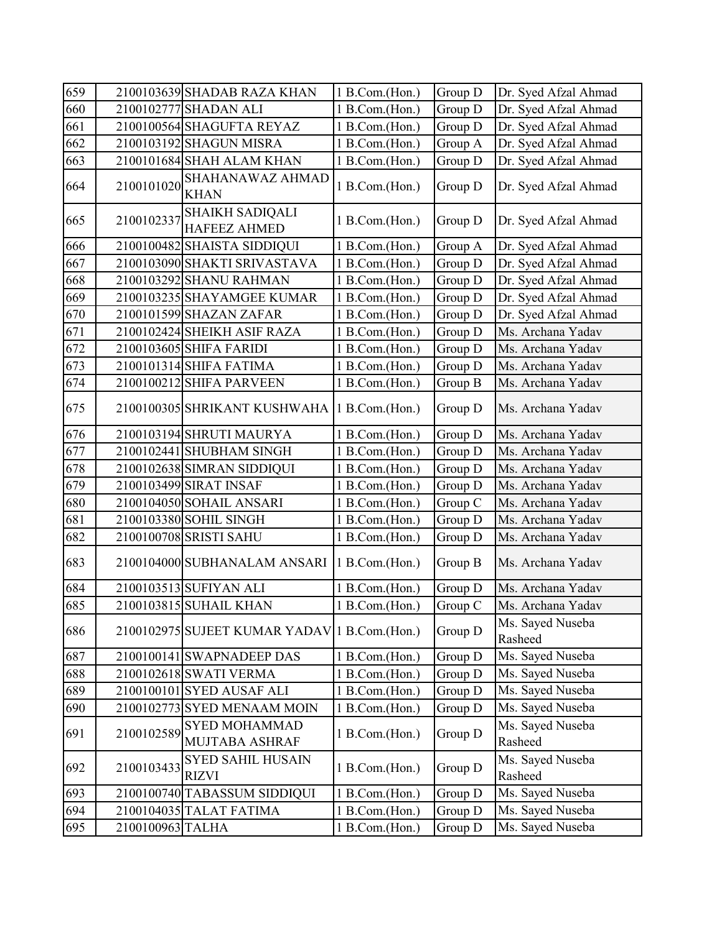| 659 |                  | 2100103639 SHADAB RAZA KHAN                   | 1 B.Com.(Hon.) | Group D | Dr. Syed Afzal Ahmad        |
|-----|------------------|-----------------------------------------------|----------------|---------|-----------------------------|
| 660 |                  | 2100102777 SHADAN ALI                         | 1 B.Com.(Hon.) | Group D | Dr. Syed Afzal Ahmad        |
| 661 |                  | 2100100564 SHAGUFTA REYAZ                     | 1 B.Com.(Hon.) | Group D | Dr. Syed Afzal Ahmad        |
| 662 |                  | 2100103192 SHAGUN MISRA                       | 1 B.Com.(Hon.) | Group A | Dr. Syed Afzal Ahmad        |
| 663 |                  | 2100101684 SHAH ALAM KHAN                     | 1 B.Com.(Hon.) | Group D | Dr. Syed Afzal Ahmad        |
| 664 | 2100101020       | SHAHANAWAZ AHMAD<br><b>KHAN</b>               | 1 B.Com.(Hon.) | Group D | Dr. Syed Afzal Ahmad        |
| 665 | 2100102337       | <b>SHAIKH SADIQALI</b><br><b>HAFEEZ AHMED</b> | 1 B.Com.(Hon.) | Group D | Dr. Syed Afzal Ahmad        |
| 666 |                  | 2100100482 SHAISTA SIDDIQUI                   | 1 B.Com.(Hon.) | Group A | Dr. Syed Afzal Ahmad        |
| 667 |                  | 2100103090 SHAKTI SRIVASTAVA                  | 1 B.Com.(Hon.) | Group D | Dr. Syed Afzal Ahmad        |
| 668 |                  | 2100103292 SHANU RAHMAN                       | 1 B.Com.(Hon.) | Group D | Dr. Syed Afzal Ahmad        |
| 669 |                  | 2100103235 SHAYAMGEE KUMAR                    | 1 B.Com.(Hon.) | Group D | Dr. Syed Afzal Ahmad        |
| 670 |                  | 2100101599 SHAZAN ZAFAR                       | 1 B.Com.(Hon.) | Group D | Dr. Syed Afzal Ahmad        |
| 671 |                  | 2100102424 SHEIKH ASIF RAZA                   | 1 B.Com.(Hon.) | Group D | Ms. Archana Yadav           |
| 672 |                  | 2100103605 SHIFA FARIDI                       | 1 B.Com.(Hon.) | Group D | Ms. Archana Yadav           |
| 673 |                  | 2100101314 SHIFA FATIMA                       | 1 B.Com.(Hon.) | Group D | Ms. Archana Yadav           |
| 674 |                  | 2100100212 SHIFA PARVEEN                      | 1 B.Com.(Hon.) | Group B | Ms. Archana Yadav           |
| 675 |                  | 2100100305 SHRIKANT KUSHWAHA 1 B.Com. (Hon.)  |                | Group D | Ms. Archana Yadav           |
| 676 |                  | 2100103194 SHRUTI MAURYA                      | 1 B.Com.(Hon.) | Group D | Ms. Archana Yadav           |
| 677 |                  | 2100102441 SHUBHAM SINGH                      | 1 B.Com.(Hon.) | Group D | Ms. Archana Yadav           |
| 678 |                  | 2100102638 SIMRAN SIDDIQUI                    | 1 B.Com.(Hon.) | Group D | Ms. Archana Yadav           |
| 679 |                  | 2100103499 SIRAT INSAF                        | 1 B.Com.(Hon.) | Group D | Ms. Archana Yadav           |
| 680 |                  | 2100104050 SOHAIL ANSARI                      | 1 B.Com.(Hon.) | Group C | Ms. Archana Yadav           |
| 681 |                  | 2100103380 SOHIL SINGH                        | 1 B.Com.(Hon.) | Group D | Ms. Archana Yadav           |
| 682 |                  | 2100100708 SRISTI SAHU                        | 1 B.Com.(Hon.) | Group D | Ms. Archana Yadav           |
| 683 |                  | 2100104000 SUBHANALAM ANSARI 1 B.Com. (Hon.)  |                | Group B | Ms. Archana Yadav           |
| 684 |                  | 2100103513 SUFIYAN ALI                        | 1 B.Com.(Hon.) | Group D | Ms. Archana Yadav           |
| 685 |                  | 2100103815 SUHAIL KHAN                        | 1 B.Com.(Hon.) | Group C | Ms. Archana Yadav           |
| 686 |                  | 2100102975 SUJEET KUMAR YADAV 1 B.Com. (Hon.) |                | Group D | Ms. Sayed Nuseba<br>Rasheed |
| 687 |                  | 2100100141 SWAPNADEEP DAS                     | 1 B.Com.(Hon.) | Group D | Ms. Sayed Nuseba            |
| 688 |                  | 2100102618 SWATI VERMA                        | 1 B.Com.(Hon.) | Group D | Ms. Sayed Nuseba            |
| 689 |                  | 2100100101 SYED AUSAF ALI                     | 1 B.Com.(Hon.) | Group D | Ms. Sayed Nuseba            |
| 690 |                  | 2100102773 SYED MENAAM MOIN                   | 1 B.Com.(Hon.) | Group D | Ms. Sayed Nuseba            |
| 691 | 2100102589       | <b>SYED MOHAMMAD</b><br>MUJTABA ASHRAF        | 1 B.Com.(Hon.) | Group D | Ms. Sayed Nuseba<br>Rasheed |
| 692 | 2100103433       | <b>SYED SAHIL HUSAIN</b><br><b>RIZVI</b>      | 1 B.Com.(Hon.) | Group D | Ms. Sayed Nuseba<br>Rasheed |
| 693 |                  | 2100100740 TABASSUM SIDDIQUI                  | 1 B.Com.(Hon.) | Group D | Ms. Sayed Nuseba            |
| 694 |                  | 2100104035 TALAT FATIMA                       | 1 B.Com.(Hon.) | Group D | Ms. Sayed Nuseba            |
| 695 | 2100100963 TALHA |                                               | 1 B.Com.(Hon.) | Group D | Ms. Sayed Nuseba            |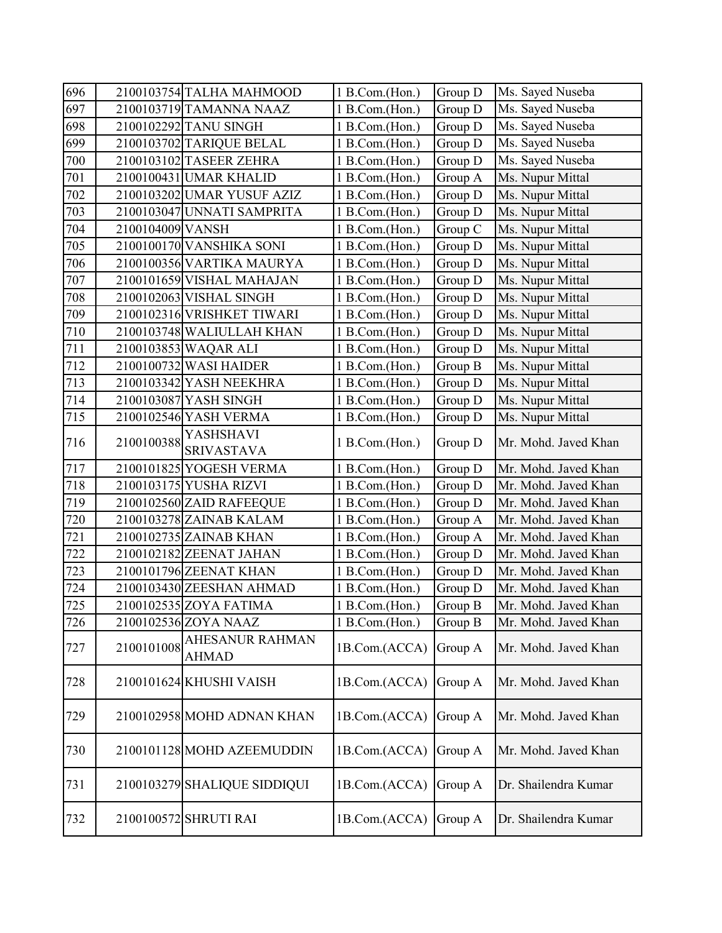| 696     |                  | 2100103754 TALHA MAHMOOD              | 1 B.Com.(Hon.) | Group D | Ms. Sayed Nuseba     |
|---------|------------------|---------------------------------------|----------------|---------|----------------------|
| 697     |                  | 2100103719 TAMANNA NAAZ               | 1 B.Com.(Hon.) | Group D | Ms. Sayed Nuseba     |
| 698     |                  | 2100102292 TANU SINGH                 | 1 B.Com.(Hon.) | Group D | Ms. Sayed Nuseba     |
| 699     |                  | 2100103702 TARIQUE BELAL              | 1 B.Com.(Hon.) | Group D | Ms. Sayed Nuseba     |
| 700     |                  | 2100103102 TASEER ZEHRA               | 1 B.Com.(Hon.) | Group D | Ms. Sayed Nuseba     |
| 701     |                  | 2100100431 UMAR KHALID                | 1 B.Com.(Hon.) | Group A | Ms. Nupur Mittal     |
| $702\,$ |                  | 2100103202 UMAR YUSUF AZIZ            | 1 B.Com.(Hon.) | Group D | Ms. Nupur Mittal     |
| 703     |                  | 2100103047 UNNATI SAMPRITA            | 1 B.Com.(Hon.) | Group D | Ms. Nupur Mittal     |
| 704     | 2100104009 VANSH |                                       | 1 B.Com.(Hon.) | Group C | Ms. Nupur Mittal     |
| 705     |                  | 2100100170 VANSHIKA SONI              | 1 B.Com.(Hon.) | Group D | Ms. Nupur Mittal     |
| 706     |                  | 2100100356 VARTIKA MAURYA             | 1 B.Com.(Hon.) | Group D | Ms. Nupur Mittal     |
| 707     |                  | 2100101659 VISHAL MAHAJAN             | 1 B.Com.(Hon.) | Group D | Ms. Nupur Mittal     |
| 708     |                  | 2100102063 VISHAL SINGH               | 1 B.Com.(Hon.) | Group D | Ms. Nupur Mittal     |
| 709     |                  | 2100102316 VRISHKET TIWARI            | 1 B.Com.(Hon.) | Group D | Ms. Nupur Mittal     |
| 710     |                  | 2100103748 WALIULLAH KHAN             | 1 B.Com.(Hon.) | Group D | Ms. Nupur Mittal     |
| 711     |                  | 2100103853 WAQAR ALI                  | 1 B.Com.(Hon.) | Group D | Ms. Nupur Mittal     |
| 712     |                  | 2100100732 WASI HAIDER                | 1 B.Com.(Hon.) | Group B | Ms. Nupur Mittal     |
| 713     |                  | 2100103342 YASH NEEKHRA               | 1 B.Com.(Hon.) | Group D | Ms. Nupur Mittal     |
| 714     |                  | 2100103087 YASH SINGH                 | 1 B.Com.(Hon.) | Group D | Ms. Nupur Mittal     |
| 715     |                  | 2100102546 YASH VERMA                 | 1 B.Com.(Hon.) | Group D | Ms. Nupur Mittal     |
| 716     | 2100100388       | <b>YASHSHAVI</b><br><b>SRIVASTAVA</b> | 1 B.Com.(Hon.) | Group D | Mr. Mohd. Javed Khan |
| 717     |                  | 2100101825 YOGESH VERMA               | 1 B.Com.(Hon.) | Group D | Mr. Mohd. Javed Khan |
| 718     |                  | 2100103175 YUSHA RIZVI                | 1 B.Com.(Hon.) | Group D | Mr. Mohd. Javed Khan |
| 719     |                  | 2100102560 ZAID RAFEEQUE              | 1 B.Com.(Hon.) | Group D | Mr. Mohd. Javed Khan |
| $720\,$ |                  | 2100103278 ZAINAB KALAM               | 1 B.Com.(Hon.) | Group A | Mr. Mohd. Javed Khan |
| 721     |                  | 2100102735 ZAINAB KHAN                | 1 B.Com.(Hon.) | Group A | Mr. Mohd. Javed Khan |
| 722     |                  | 2100102182 ZEENAT JAHAN               | 1 B.Com.(Hon.) | Group D | Mr. Mohd. Javed Khan |
| 723     |                  | 2100101796 ZEENAT KHAN                | 1 B.Com.(Hon.) | Group D | Mr. Mohd. Javed Khan |
| 724     |                  | 2100103430 ZEESHAN AHMAD              | 1 B.Com.(Hon.) | Group D | Mr. Mohd. Javed Khan |
| 725     |                  | 2100102535 ZOYA FATIMA                | 1 B.Com.(Hon.) | Group B | Mr. Mohd. Javed Khan |
| 726     |                  | 2100102536 ZOYA NAAZ                  | 1 B.Com.(Hon.) | Group B | Mr. Mohd. Javed Khan |
| 727     | 2100101008       | AHESANUR RAHMAN<br><b>AHMAD</b>       | 1B.Com.(ACCA)  | Group A | Mr. Mohd. Javed Khan |
| 728     |                  | 2100101624 KHUSHI VAISH               | 1B.Com.(ACCA)  | Group A | Mr. Mohd. Javed Khan |
| 729     |                  | 2100102958 MOHD ADNAN KHAN            | 1B.Com.(ACCA)  | Group A | Mr. Mohd. Javed Khan |
| 730     |                  | 2100101128 MOHD AZEEMUDDIN            | 1B.Com.(ACCA)  | Group A | Mr. Mohd. Javed Khan |
| 731     |                  | 2100103279 SHALIQUE SIDDIQUI          | 1B.Com.(ACCA)  | Group A | Dr. Shailendra Kumar |
| 732     |                  | 2100100572 SHRUTI RAI                 | 1B.Com.(ACCA)  | Group A | Dr. Shailendra Kumar |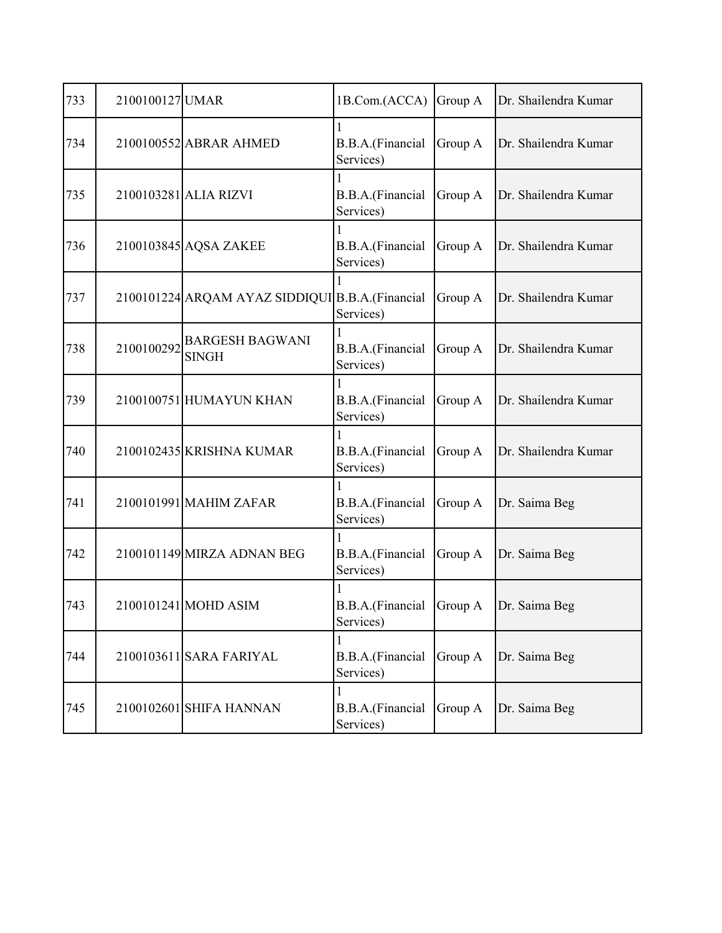| 733 | 2100100127 UMAR |                                                  | 1B.Com.(ACCA)                         | Group A | Dr. Shailendra Kumar |
|-----|-----------------|--------------------------------------------------|---------------------------------------|---------|----------------------|
| 734 |                 | 2100100552 ABRAR AHMED                           | B.B.A.(Financial<br>Services)         | Group A | Dr. Shailendra Kumar |
| 735 |                 | 2100103281 ALIA RIZVI                            | B.B.A.(Financial<br>Services)         | Group A | Dr. Shailendra Kumar |
| 736 |                 | 2100103845 AQSA ZAKEE                            | B.B.A.(Financial<br>Services)         | Group A | Dr. Shailendra Kumar |
| 737 |                 | 2100101224 ARQAM AYAZ SIDDIQUI B.B.A. (Financial | Services)                             | Group A | Dr. Shailendra Kumar |
| 738 | 2100100292      | <b>BARGESH BAGWANI</b><br><b>SINGH</b>           | B.B.A.(Financial<br>Services)         | Group A | Dr. Shailendra Kumar |
| 739 |                 | 2100100751 HUMAYUN KHAN                          | B.B.A.(Financial<br>Services)         | Group A | Dr. Shailendra Kumar |
| 740 |                 | 2100102435 KRISHNA KUMAR                         | B.B.A.(Financial<br>Services)         | Group A | Dr. Shailendra Kumar |
| 741 |                 | 2100101991 MAHIM ZAFAR                           | B.B.A.(Financial<br>Services)         | Group A | Dr. Saima Beg        |
| 742 |                 | 2100101149 MIRZA ADNAN BEG                       | B.B.A.(Financial<br>Services)         | Group A | Dr. Saima Beg        |
| 743 |                 | 2100101241 MOHD ASIM                             | B.B.A.(Financial Group A<br>Services) |         | Dr. Saima Beg        |
| 744 |                 | 2100103611 SARA FARIYAL                          | B.B.A.(Financial<br>Services)         | Group A | Dr. Saima Beg        |
| 745 |                 | 2100102601 SHIFA HANNAN                          | B.B.A.(Financial<br>Services)         | Group A | Dr. Saima Beg        |